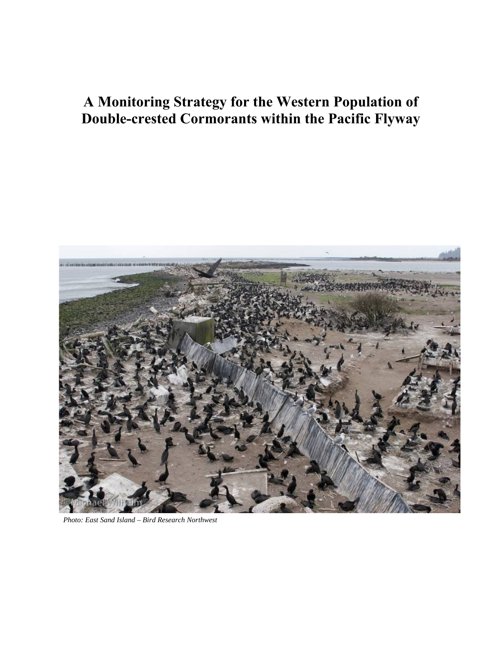# **A Monitoring Strategy for the Western Population of Double-crested Cormorants within the Pacific Flyway**



*Photo: East Sand Island – Bird Research Northwest*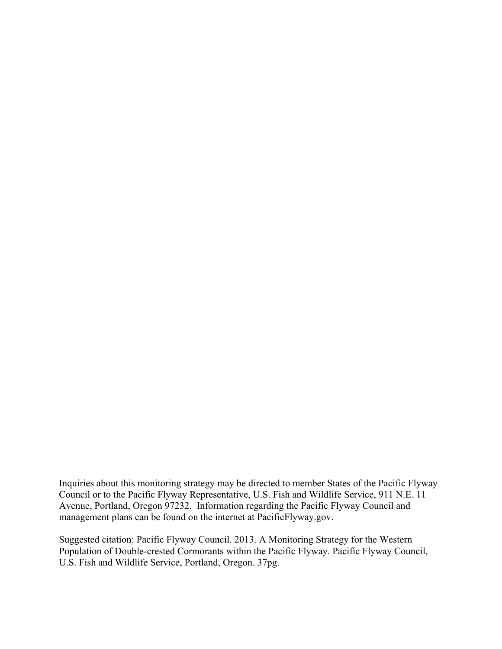Inquiries about this monitoring strategy may be directed to member States of the Pacific Flyway Council or to the Pacific Flyway Representative, U.S. Fish and Wildlife Service, 911 N.E. 11 Avenue, Portland, Oregon 97232. Information regarding the Pacific Flyway Council and management plans can be found on the internet at PacificFlyway.gov.

Suggested citation: Pacific Flyway Council. 2013. A Monitoring Strategy for the Western Population of Double-crested Cormorants within the Pacific Flyway. Pacific Flyway Council, U.S. Fish and Wildlife Service, Portland, Oregon. 37pg.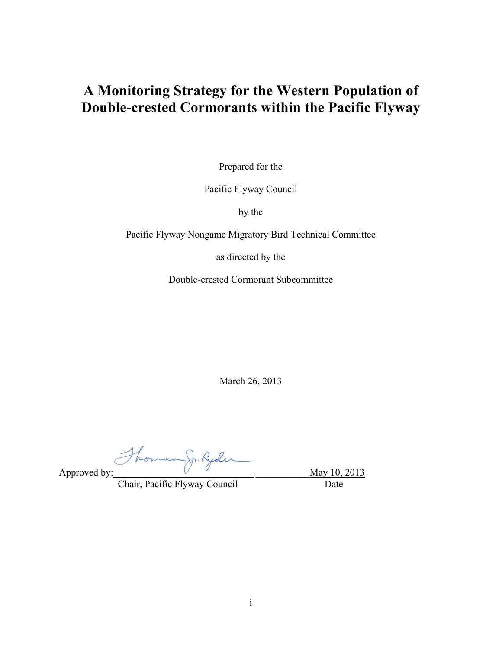## **A Monitoring Strategy for the Western Population of Double-crested Cormorants within the Pacific Flyway**

Prepared for the

Pacific Flyway Council

by the

Pacific Flyway Nongame Migratory Bird Technical Committee

as directed by the

Double-crested Cormorant Subcommittee

March 26, 2013

Approved by: how as J. Rydu May 10, 2013

Chair, Pacific Flyway Council Date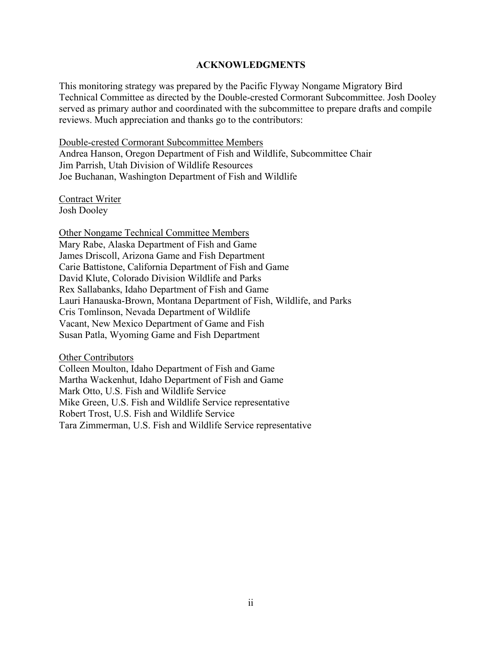#### **ACKNOWLEDGMENTS**

This monitoring strategy was prepared by the Pacific Flyway Nongame Migratory Bird Technical Committee as directed by the Double-crested Cormorant Subcommittee. Josh Dooley served as primary author and coordinated with the subcommittee to prepare drafts and compile reviews. Much appreciation and thanks go to the contributors:

Double-crested Cormorant Subcommittee Members

Andrea Hanson, Oregon Department of Fish and Wildlife, Subcommittee Chair Jim Parrish, Utah Division of Wildlife Resources Joe Buchanan, Washington Department of Fish and Wildlife

Contract Writer Josh Dooley

Other Nongame Technical Committee Members Mary Rabe, Alaska Department of Fish and Game James Driscoll, Arizona Game and Fish Department Carie Battistone, California Department of Fish and Game David Klute, Colorado Division Wildlife and Parks Rex Sallabanks, Idaho Department of Fish and Game Lauri Hanauska-Brown, Montana Department of Fish, Wildlife, and Parks Cris Tomlinson, Nevada Department of Wildlife Vacant, New Mexico Department of Game and Fish Susan Patla, Wyoming Game and Fish Department

Other Contributors

Colleen Moulton, Idaho Department of Fish and Game Martha Wackenhut, Idaho Department of Fish and Game Mark Otto, U.S. Fish and Wildlife Service Mike Green, U.S. Fish and Wildlife Service representative Robert Trost, U.S. Fish and Wildlife Service Tara Zimmerman, U.S. Fish and Wildlife Service representative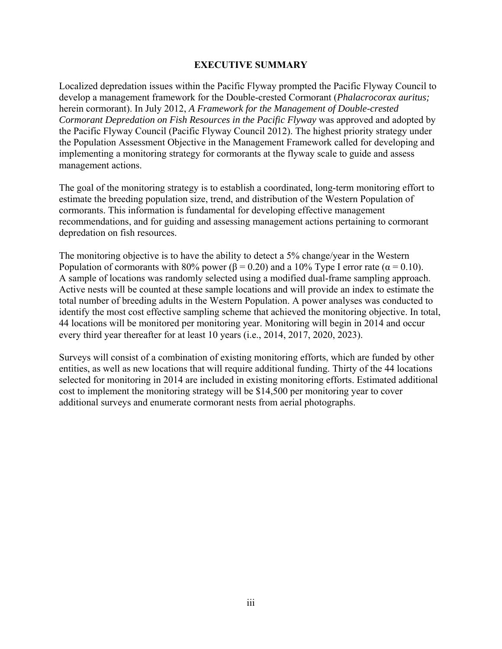#### **EXECUTIVE SUMMARY**

Localized depredation issues within the Pacific Flyway prompted the Pacific Flyway Council to develop a management framework for the Double-crested Cormorant (*Phalacrocorax auritus;*  herein cormorant). In July 2012, *A Framework for the Management of Double-crested Cormorant Depredation on Fish Resources in the Pacific Flyway* was approved and adopted by the Pacific Flyway Council (Pacific Flyway Council 2012). The highest priority strategy under the Population Assessment Objective in the Management Framework called for developing and implementing a monitoring strategy for cormorants at the flyway scale to guide and assess management actions.

The goal of the monitoring strategy is to establish a coordinated, long-term monitoring effort to estimate the breeding population size, trend, and distribution of the Western Population of cormorants. This information is fundamental for developing effective management recommendations, and for guiding and assessing management actions pertaining to cormorant depredation on fish resources.

The monitoring objective is to have the ability to detect a 5% change/year in the Western Population of cormorants with 80% power ( $\beta$  = 0.20) and a 10% Type I error rate ( $\alpha$  = 0.10). A sample of locations was randomly selected using a modified dual-frame sampling approach. Active nests will be counted at these sample locations and will provide an index to estimate the total number of breeding adults in the Western Population. A power analyses was conducted to identify the most cost effective sampling scheme that achieved the monitoring objective. In total, 44 locations will be monitored per monitoring year. Monitoring will begin in 2014 and occur every third year thereafter for at least 10 years (i.e., 2014, 2017, 2020, 2023).

Surveys will consist of a combination of existing monitoring efforts, which are funded by other entities, as well as new locations that will require additional funding. Thirty of the 44 locations selected for monitoring in 2014 are included in existing monitoring efforts. Estimated additional cost to implement the monitoring strategy will be \$14,500 per monitoring year to cover additional surveys and enumerate cormorant nests from aerial photographs.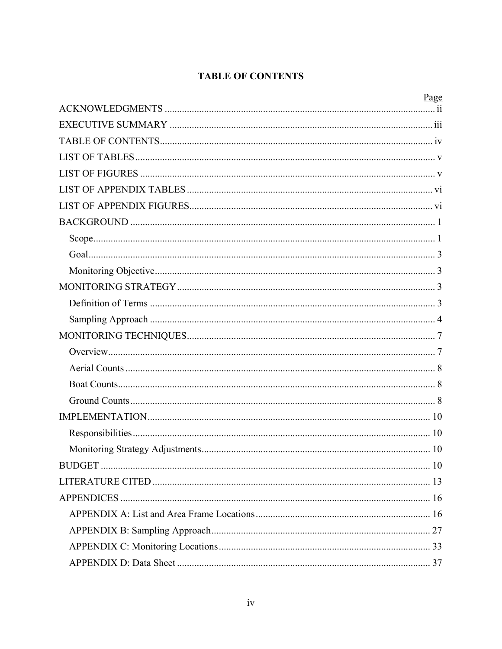## **TABLE OF CONTENTS**

| Page |
|------|
|      |
|      |
|      |
|      |
|      |
|      |
|      |
|      |
|      |
|      |
|      |
|      |
|      |
|      |
|      |
|      |
|      |
|      |
|      |
|      |
|      |
|      |
|      |
|      |
|      |
|      |
|      |
|      |
|      |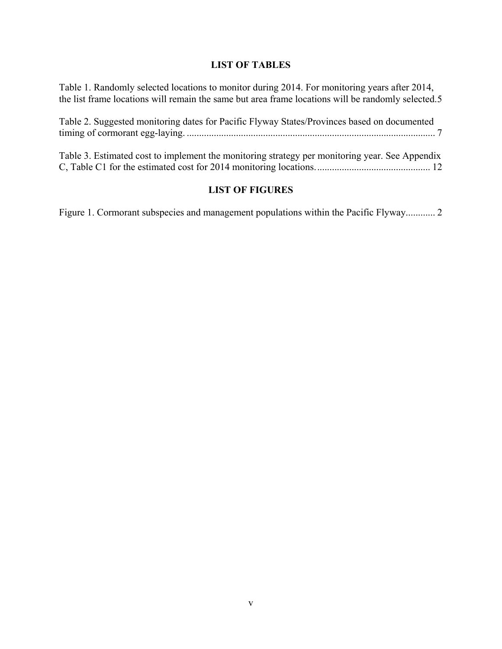## **LIST OF TABLES**

Table 1. Randomly selected locations to monitor during 2014. For monitoring years after 2014, the list frame locations will remain the same but area frame locations will be randomly selected. 5

| Table 2. Suggested monitoring dates for Pacific Flyway States/Provinces based on documented    |
|------------------------------------------------------------------------------------------------|
| Table 3. Estimated cost to implement the monitoring strategy per monitoring year. See Appendix |

## **LIST OF FIGURES**

Figure 1. Cormorant subspecies and management populations within the Pacific Flyway............ 2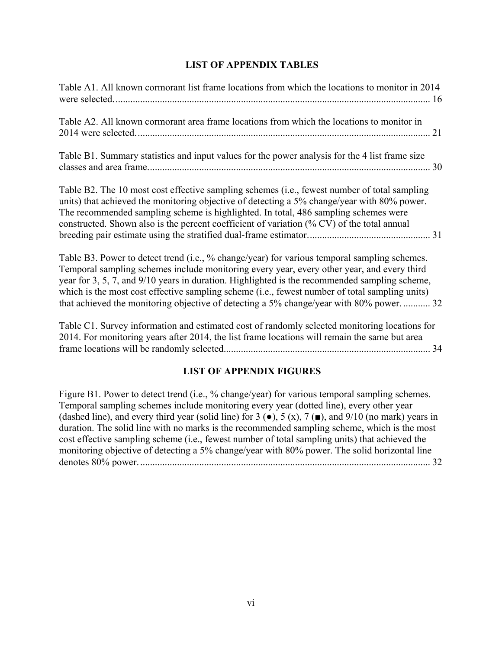## **LIST OF APPENDIX TABLES**

| Table A1. All known cormorant list frame locations from which the locations to monitor in 2014                                                                                                                                                                                                                                                                                                                                                                                          |
|-----------------------------------------------------------------------------------------------------------------------------------------------------------------------------------------------------------------------------------------------------------------------------------------------------------------------------------------------------------------------------------------------------------------------------------------------------------------------------------------|
| Table A2. All known cormorant area frame locations from which the locations to monitor in<br>21                                                                                                                                                                                                                                                                                                                                                                                         |
| Table B1. Summary statistics and input values for the power analysis for the 4 list frame size<br>30                                                                                                                                                                                                                                                                                                                                                                                    |
| Table B2. The 10 most cost effective sampling schemes (i.e., fewest number of total sampling<br>units) that achieved the monitoring objective of detecting a 5% change/year with 80% power.<br>The recommended sampling scheme is highlighted. In total, 486 sampling schemes were<br>constructed. Shown also is the percent coefficient of variation (% CV) of the total annual                                                                                                        |
| Table B3. Power to detect trend (i.e., % change/year) for various temporal sampling schemes.<br>Temporal sampling schemes include monitoring every year, every other year, and every third<br>year for 3, 5, 7, and 9/10 years in duration. Highlighted is the recommended sampling scheme,<br>which is the most cost effective sampling scheme (i.e., fewest number of total sampling units)<br>that achieved the monitoring objective of detecting a 5% change/year with 80% power 32 |
| Table C1. Survey information and estimated cost of randomly selected monitoring locations for<br>2014. For monitoring years after 2014, the list frame locations will remain the same but area                                                                                                                                                                                                                                                                                          |
| <b>LIST OF APPENDIX FIGURES</b>                                                                                                                                                                                                                                                                                                                                                                                                                                                         |

Figure B1. Power to detect trend (i.e., % change/year) for various temporal sampling schemes. Temporal sampling schemes include monitoring every year (dotted line), every other year (dashed line), and every third year (solid line) for 3  $\left(\bullet\right)$ , 5  $\left(x\right)$ , 7  $\left(\bullet\right)$ , and 9/10 (no mark) years in duration. The solid line with no marks is the recommended sampling scheme, which is the most cost effective sampling scheme (i.e., fewest number of total sampling units) that achieved the monitoring objective of detecting a 5% change/year with 80% power. The solid horizontal line denotes 80% power. ...................................................................................................................... 32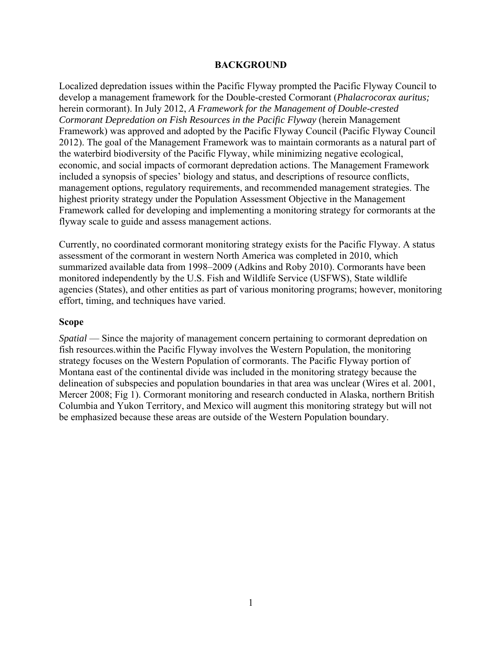#### **BACKGROUND**

Localized depredation issues within the Pacific Flyway prompted the Pacific Flyway Council to develop a management framework for the Double-crested Cormorant (*Phalacrocorax auritus;*  herein cormorant). In July 2012, *A Framework for the Management of Double-crested Cormorant Depredation on Fish Resources in the Pacific Flyway* (herein Management Framework) was approved and adopted by the Pacific Flyway Council (Pacific Flyway Council 2012). The goal of the Management Framework was to maintain cormorants as a natural part of the waterbird biodiversity of the Pacific Flyway, while minimizing negative ecological, economic, and social impacts of cormorant depredation actions. The Management Framework included a synopsis of species' biology and status, and descriptions of resource conflicts, management options, regulatory requirements, and recommended management strategies. The highest priority strategy under the Population Assessment Objective in the Management Framework called for developing and implementing a monitoring strategy for cormorants at the flyway scale to guide and assess management actions.

Currently, no coordinated cormorant monitoring strategy exists for the Pacific Flyway. A status assessment of the cormorant in western North America was completed in 2010, which summarized available data from 1998–2009 (Adkins and Roby 2010). Cormorants have been monitored independently by the U.S. Fish and Wildlife Service (USFWS), State wildlife agencies (States), and other entities as part of various monitoring programs; however, monitoring effort, timing, and techniques have varied.

#### **Scope**

*Spatial* — Since the majority of management concern pertaining to cormorant depredation on fish resources.within the Pacific Flyway involves the Western Population, the monitoring strategy focuses on the Western Population of cormorants. The Pacific Flyway portion of Montana east of the continental divide was included in the monitoring strategy because the delineation of subspecies and population boundaries in that area was unclear (Wires et al. 2001, Mercer 2008; Fig 1). Cormorant monitoring and research conducted in Alaska, northern British Columbia and Yukon Territory, and Mexico will augment this monitoring strategy but will not be emphasized because these areas are outside of the Western Population boundary.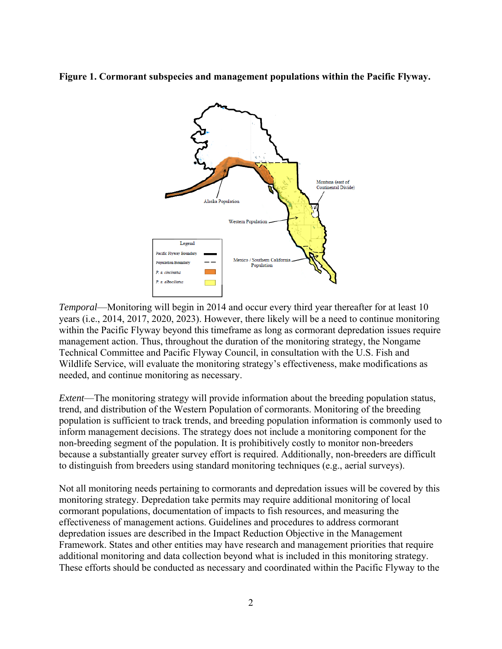**Figure 1. Cormorant subspecies and management populations within the Pacific Flyway.** 



*Temporal*—Monitoring will begin in 2014 and occur every third year thereafter for at least 10 years (i.e., 2014, 2017, 2020, 2023). However, there likely will be a need to continue monitoring within the Pacific Flyway beyond this timeframe as long as cormorant depredation issues require management action. Thus, throughout the duration of the monitoring strategy, the Nongame Technical Committee and Pacific Flyway Council, in consultation with the U.S. Fish and Wildlife Service, will evaluate the monitoring strategy's effectiveness, make modifications as needed, and continue monitoring as necessary.

*Extent*—The monitoring strategy will provide information about the breeding population status, trend, and distribution of the Western Population of cormorants. Monitoring of the breeding population is sufficient to track trends, and breeding population information is commonly used to inform management decisions. The strategy does not include a monitoring component for the non-breeding segment of the population. It is prohibitively costly to monitor non-breeders because a substantially greater survey effort is required. Additionally, non-breeders are difficult to distinguish from breeders using standard monitoring techniques (e.g., aerial surveys).

Not all monitoring needs pertaining to cormorants and depredation issues will be covered by this monitoring strategy. Depredation take permits may require additional monitoring of local cormorant populations, documentation of impacts to fish resources, and measuring the effectiveness of management actions. Guidelines and procedures to address cormorant depredation issues are described in the Impact Reduction Objective in the Management Framework. States and other entities may have research and management priorities that require additional monitoring and data collection beyond what is included in this monitoring strategy. These efforts should be conducted as necessary and coordinated within the Pacific Flyway to the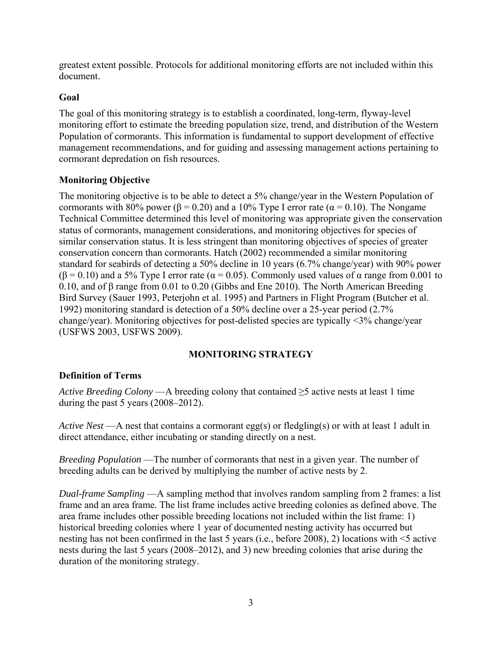greatest extent possible. Protocols for additional monitoring efforts are not included within this document.

## **Goal**

The goal of this monitoring strategy is to establish a coordinated, long-term, flyway-level monitoring effort to estimate the breeding population size, trend, and distribution of the Western Population of cormorants. This information is fundamental to support development of effective management recommendations, and for guiding and assessing management actions pertaining to cormorant depredation on fish resources.

## **Monitoring Objective**

The monitoring objective is to be able to detect a 5% change/year in the Western Population of cormorants with 80% power (β = 0.20) and a 10% Type I error rate ( $\alpha$  = 0.10). The Nongame Technical Committee determined this level of monitoring was appropriate given the conservation status of cormorants, management considerations, and monitoring objectives for species of similar conservation status. It is less stringent than monitoring objectives of species of greater conservation concern than cormorants. Hatch (2002) recommended a similar monitoring standard for seabirds of detecting a 50% decline in 10 years (6.7% change/year) with 90% power  $(\beta = 0.10)$  and a 5% Type I error rate ( $\alpha = 0.05$ ). Commonly used values of  $\alpha$  range from 0.001 to 0.10, and of β range from 0.01 to 0.20 (Gibbs and Ene 2010). The North American Breeding Bird Survey (Sauer 1993, Peterjohn et al. 1995) and Partners in Flight Program (Butcher et al. 1992) monitoring standard is detection of a 50% decline over a 25-year period (2.7% change/year). Monitoring objectives for post-delisted species are typically <3% change/year (USFWS 2003, USFWS 2009).

## **MONITORING STRATEGY**

## **Definition of Terms**

*Active Breeding Colony* —A breeding colony that contained ≥5 active nests at least 1 time during the past 5 years (2008–2012).

*Active Nest* —A nest that contains a cormorant egg(s) or fledgling(s) or with at least 1 adult in direct attendance, either incubating or standing directly on a nest.

*Breeding Population* — The number of cormorants that nest in a given year. The number of breeding adults can be derived by multiplying the number of active nests by 2.

*Dual-frame Sampling* —A sampling method that involves random sampling from 2 frames: a list frame and an area frame. The list frame includes active breeding colonies as defined above. The area frame includes other possible breeding locations not included within the list frame: 1) historical breeding colonies where 1 year of documented nesting activity has occurred but nesting has not been confirmed in the last 5 years (i.e., before 2008), 2) locations with <5 active nests during the last 5 years (2008–2012), and 3) new breeding colonies that arise during the duration of the monitoring strategy.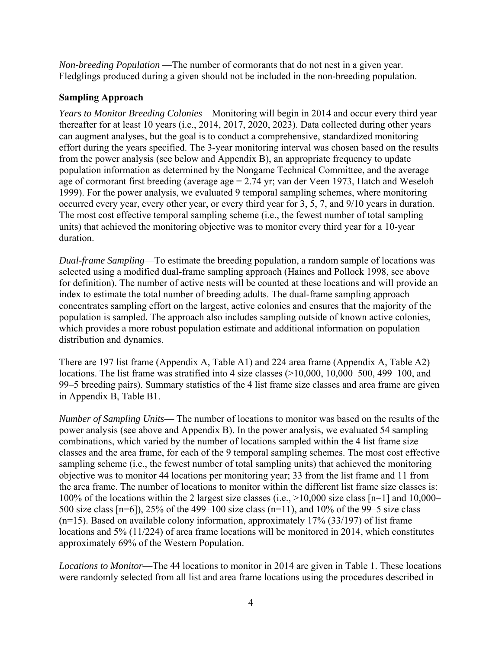*Non-breeding Population* —The number of cormorants that do not nest in a given year. Fledglings produced during a given should not be included in the non-breeding population.

## **Sampling Approach**

*Years to Monitor Breeding Colonies*—Monitoring will begin in 2014 and occur every third year thereafter for at least 10 years (i.e., 2014, 2017, 2020, 2023). Data collected during other years can augment analyses, but the goal is to conduct a comprehensive, standardized monitoring effort during the years specified. The 3-year monitoring interval was chosen based on the results from the power analysis (see below and Appendix B), an appropriate frequency to update population information as determined by the Nongame Technical Committee, and the average age of cormorant first breeding (average age = 2.74 yr; van der Veen 1973, Hatch and Weseloh 1999). For the power analysis, we evaluated 9 temporal sampling schemes, where monitoring occurred every year, every other year, or every third year for 3, 5, 7, and 9/10 years in duration. The most cost effective temporal sampling scheme (i.e., the fewest number of total sampling units) that achieved the monitoring objective was to monitor every third year for a 10-year duration.

*Dual-frame Sampling*—To estimate the breeding population, a random sample of locations was selected using a modified dual-frame sampling approach (Haines and Pollock 1998, see above for definition). The number of active nests will be counted at these locations and will provide an index to estimate the total number of breeding adults. The dual-frame sampling approach concentrates sampling effort on the largest, active colonies and ensures that the majority of the population is sampled. The approach also includes sampling outside of known active colonies, which provides a more robust population estimate and additional information on population distribution and dynamics.

There are 197 list frame (Appendix A, Table A1) and 224 area frame (Appendix A, Table A2) locations. The list frame was stratified into 4 size classes (>10,000, 10,000–500, 499–100, and 99–5 breeding pairs). Summary statistics of the 4 list frame size classes and area frame are given in Appendix B, Table B1.

*Number of Sampling Units*— The number of locations to monitor was based on the results of the power analysis (see above and Appendix B). In the power analysis, we evaluated 54 sampling combinations, which varied by the number of locations sampled within the 4 list frame size classes and the area frame, for each of the 9 temporal sampling schemes. The most cost effective sampling scheme (i.e., the fewest number of total sampling units) that achieved the monitoring objective was to monitor 44 locations per monitoring year; 33 from the list frame and 11 from the area frame. The number of locations to monitor within the different list frame size classes is: 100% of the locations within the 2 largest size classes (i.e., >10,000 size class [n=1] and 10,000– 500 size class [n=6]), 25% of the 499–100 size class (n=11), and 10% of the 99–5 size class (n=15). Based on available colony information, approximately 17% (33/197) of list frame locations and 5% (11/224) of area frame locations will be monitored in 2014, which constitutes approximately 69% of the Western Population.

*Locations to Monitor*—The 44 locations to monitor in 2014 are given in Table 1. These locations were randomly selected from all list and area frame locations using the procedures described in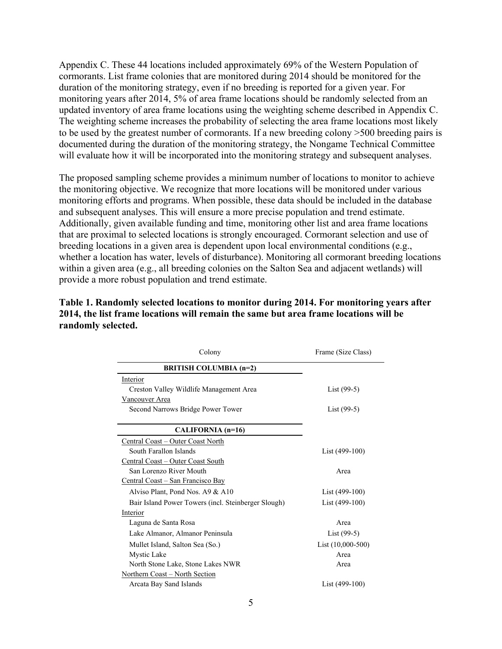Appendix C. These 44 locations included approximately 69% of the Western Population of cormorants. List frame colonies that are monitored during 2014 should be monitored for the duration of the monitoring strategy, even if no breeding is reported for a given year. For monitoring years after 2014, 5% of area frame locations should be randomly selected from an updated inventory of area frame locations using the weighting scheme described in Appendix C. The weighting scheme increases the probability of selecting the area frame locations most likely to be used by the greatest number of cormorants. If a new breeding colony >500 breeding pairs is documented during the duration of the monitoring strategy, the Nongame Technical Committee will evaluate how it will be incorporated into the monitoring strategy and subsequent analyses.

The proposed sampling scheme provides a minimum number of locations to monitor to achieve the monitoring objective. We recognize that more locations will be monitored under various monitoring efforts and programs. When possible, these data should be included in the database and subsequent analyses. This will ensure a more precise population and trend estimate. Additionally, given available funding and time, monitoring other list and area frame locations that are proximal to selected locations is strongly encouraged. Cormorant selection and use of breeding locations in a given area is dependent upon local environmental conditions (e.g., whether a location has water, levels of disturbance). Monitoring all cormorant breeding locations within a given area (e.g., all breeding colonies on the Salton Sea and adjacent wetlands) will provide a more robust population and trend estimate.

| Colony                                              | Frame (Size Class)  |
|-----------------------------------------------------|---------------------|
| <b>BRITISH COLUMBIA (n=2)</b>                       |                     |
| Interior                                            |                     |
| Creston Valley Wildlife Management Area             | $List(99-5)$        |
| Vancouver Area                                      |                     |
| Second Narrows Bridge Power Tower                   | List $(99-5)$       |
|                                                     |                     |
| CALIFORNIA (n=16)                                   |                     |
| Central Coast – Outer Coast North                   |                     |
| South Farallon Islands                              | List $(499-100)$    |
| Central Coast - Outer Coast South                   |                     |
| San Lorenzo River Mouth                             | Area                |
| Central Coast – San Francisco Bay                   |                     |
| Alviso Plant, Pond Nos. A9 & A10                    | List $(499-100)$    |
| Bair Island Power Towers (incl. Steinberger Slough) | List $(499-100)$    |
| Interior                                            |                     |
| Laguna de Santa Rosa                                | Area                |
| Lake Almanor, Almanor Peninsula                     | $List(99-5)$        |
| Mullet Island, Salton Sea (So.)                     | List $(10,000-500)$ |
| Mystic Lake                                         | Area                |
| North Stone Lake, Stone Lakes NWR                   | Area                |
| Northern Coast – North Section                      |                     |
| Arcata Bay Sand Islands                             | List (499-100)      |
|                                                     |                     |

## **Table 1. Randomly selected locations to monitor during 2014. For monitoring years after 2014, the list frame locations will remain the same but area frame locations will be randomly selected.**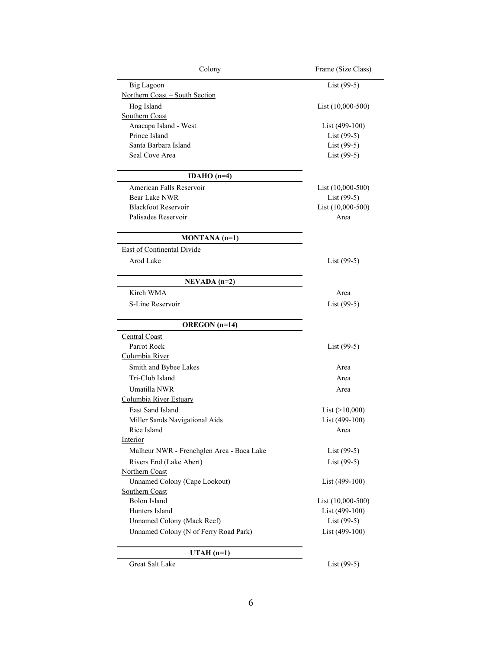| Colony                                    | Frame (Size Class)  |
|-------------------------------------------|---------------------|
| Big Lagoon                                | List $(99-5)$       |
| Northern Coast - South Section            |                     |
| Hog Island                                | List $(10,000-500)$ |
| Southern Coast                            |                     |
| Anacapa Island - West                     | List $(499-100)$    |
| Prince Island                             | List (99-5)         |
| Santa Barbara Island                      | $List(99-5)$        |
| Seal Cove Area                            | List (99-5)         |
| IDAHO $(n=4)$                             |                     |
| American Falls Reservoir                  | List $(10,000-500)$ |
| <b>Bear Lake NWR</b>                      | List (99-5)         |
| <b>Blackfoot Reservoir</b>                | List (10,000-500)   |
| Palisades Reservoir                       | Area                |
| $MONTANA(n=1)$                            |                     |
| <b>East of Continental Divide</b>         |                     |
| Arod Lake                                 | List $(99-5)$       |
| $NEVADA (n=2)$                            |                     |
| Kirch WMA                                 | Area                |
|                                           |                     |
| S-Line Reservoir                          | List $(99-5)$       |
| <b>OREGON</b> (n=14)                      |                     |
| Central Coast                             |                     |
| Parrot Rock                               | List $(99-5)$       |
| Columbia River                            |                     |
| Smith and Bybee Lakes                     | Area                |
| Tri-Club Island                           | Area                |
| Umatilla NWR                              | Area                |
| Columbia River Estuary                    |                     |
| East Sand Island                          | List $(>10,000)$    |
| Miller Sands Navigational Aids            | List (499-100)      |
| Rice Island                               | Area                |
| Interior                                  |                     |
| Malheur NWR - Frenchglen Area - Baca Lake | List (99-5)         |
| Rivers End (Lake Abert)                   | List $(99-5)$       |
| Northern Coast                            |                     |
| <b>Unnamed Colony (Cape Lookout)</b>      | List (499-100)      |
| Southern Coast                            |                     |
| <b>Bolon Island</b>                       | List (10,000-500)   |
| Hunters Island                            | List (499-100)      |
| Unnamed Colony (Mack Reef)                | List (99-5)         |
| Unnamed Colony (N of Ferry Road Park)     | List (499-100)      |
| $UTAH(n=1)$                               |                     |
| Great Salt Lake                           | List $(99-5)$       |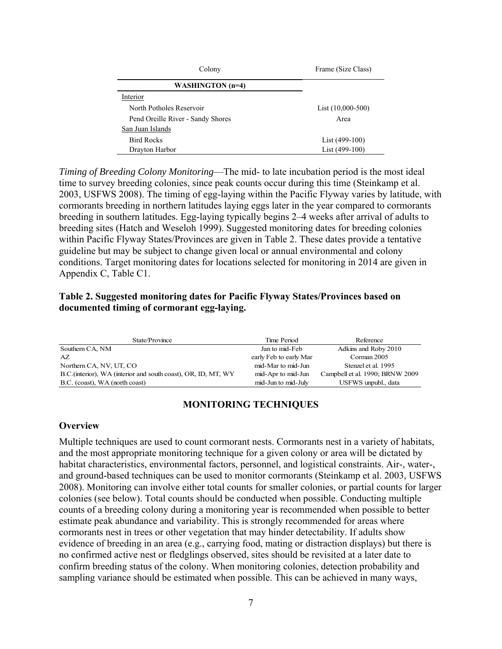| Colony                            | Frame (Size Class)  |
|-----------------------------------|---------------------|
| WASHINGTON (n=4)                  |                     |
| Interior                          |                     |
| North Potholes Reservoir          | List $(10,000-500)$ |
| Pend Oreille River - Sandy Shores | Area                |
| San Juan Islands                  |                     |
| <b>Bird Rocks</b>                 | List $(499-100)$    |
| Drayton Harbor                    | List (499-100)      |

*Timing of Breeding Colony Monitoring*—The mid- to late incubation period is the most ideal time to survey breeding colonies, since peak counts occur during this time (Steinkamp et al. 2003, USFWS 2008). The timing of egg-laying within the Pacific Flyway varies by latitude, with cormorants breeding in northern latitudes laying eggs later in the year compared to cormorants breeding in southern latitudes. Egg-laying typically begins 2–4 weeks after arrival of adults to breeding sites (Hatch and Weseloh 1999). Suggested monitoring dates for breeding colonies within Pacific Flyway States/Provinces are given in Table 2. These dates provide a tentative guideline but may be subject to change given local or annual environmental and colony conditions. Target monitoring dates for locations selected for monitoring in 2014 are given in Appendix C, Table C1.

#### **Table 2. Suggested monitoring dates for Pacific Flyway States/Provinces based on documented timing of cormorant egg-laying.**

| State/Province                                                 | Time Period            | Reference                       |
|----------------------------------------------------------------|------------------------|---------------------------------|
| Southern CA, NM                                                | Jan to mid-Feb         | Adkins and Roby 2010            |
| AZ.                                                            | early Feb to early Mar | Corman 2005                     |
| Northern CA, NV, UT, CO                                        | mid-Mar to mid-Jun     | Stenzel et al. 1995             |
| B.C. (interior), WA (interior and south coast), OR, ID, MT, WY | mid-Apr to mid-Jun     | Campbell et al. 1990; BRNW 2009 |
| B.C. (coast), WA (north coast)                                 | mid-Jun to mid-July    | USFWS unpubl., data             |

#### **MONITORING TECHNIQUES**

#### **Overview**

Multiple techniques are used to count cormorant nests. Cormorants nest in a variety of habitats, and the most appropriate monitoring technique for a given colony or area will be dictated by habitat characteristics, environmental factors, personnel, and logistical constraints. Air-, water-, and ground-based techniques can be used to monitor cormorants (Steinkamp et al. 2003, USFWS 2008). Monitoring can involve either total counts for smaller colonies, or partial counts for larger colonies (see below). Total counts should be conducted when possible. Conducting multiple counts of a breeding colony during a monitoring year is recommended when possible to better estimate peak abundance and variability. This is strongly recommended for areas where cormorants nest in trees or other vegetation that may hinder detectability. If adults show evidence of breeding in an area (e.g., carrying food, mating or distraction displays) but there is no confirmed active nest or fledglings observed, sites should be revisited at a later date to confirm breeding status of the colony. When monitoring colonies, detection probability and sampling variance should be estimated when possible. This can be achieved in many ways,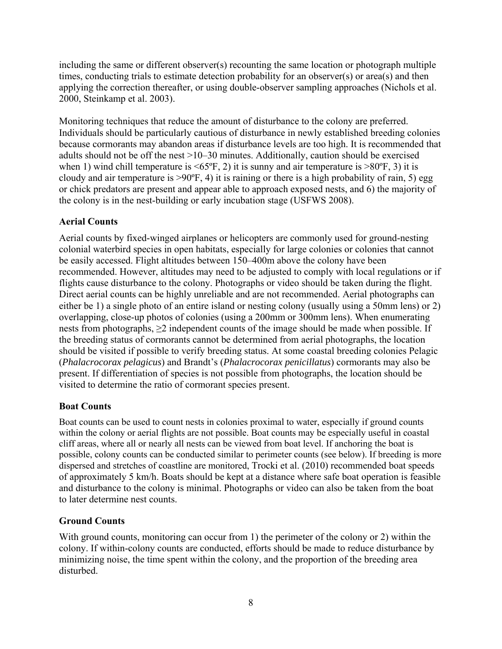including the same or different observer(s) recounting the same location or photograph multiple times, conducting trials to estimate detection probability for an observer(s) or area(s) and then applying the correction thereafter, or using double-observer sampling approaches (Nichols et al. 2000, Steinkamp et al. 2003).

Monitoring techniques that reduce the amount of disturbance to the colony are preferred. Individuals should be particularly cautious of disturbance in newly established breeding colonies because cormorants may abandon areas if disturbance levels are too high. It is recommended that adults should not be off the nest >10–30 minutes. Additionally, caution should be exercised when 1) wind chill temperature is  $\leq 65^\circ$ F, 2) it is sunny and air temperature is  $> 80^\circ$ F, 3) it is cloudy and air temperature is  $>90^{\circ}$ F, 4) it is raining or there is a high probability of rain, 5) egg or chick predators are present and appear able to approach exposed nests, and 6) the majority of the colony is in the nest-building or early incubation stage (USFWS 2008).

## **Aerial Counts**

Aerial counts by fixed-winged airplanes or helicopters are commonly used for ground-nesting colonial waterbird species in open habitats, especially for large colonies or colonies that cannot be easily accessed. Flight altitudes between 150–400m above the colony have been recommended. However, altitudes may need to be adjusted to comply with local regulations or if flights cause disturbance to the colony. Photographs or video should be taken during the flight. Direct aerial counts can be highly unreliable and are not recommended. Aerial photographs can either be 1) a single photo of an entire island or nesting colony (usually using a 50mm lens) or 2) overlapping, close-up photos of colonies (using a 200mm or 300mm lens). When enumerating nests from photographs,  $\geq 2$  independent counts of the image should be made when possible. If the breeding status of cormorants cannot be determined from aerial photographs, the location should be visited if possible to verify breeding status. At some coastal breeding colonies Pelagic (*Phalacrocorax pelagicus*) and Brandt's (*Phalacrocorax penicillatus*) cormorants may also be present. If differentiation of species is not possible from photographs, the location should be visited to determine the ratio of cormorant species present.

## **Boat Counts**

Boat counts can be used to count nests in colonies proximal to water, especially if ground counts within the colony or aerial flights are not possible. Boat counts may be especially useful in coastal cliff areas, where all or nearly all nests can be viewed from boat level. If anchoring the boat is possible, colony counts can be conducted similar to perimeter counts (see below). If breeding is more dispersed and stretches of coastline are monitored, Trocki et al. (2010) recommended boat speeds of approximately 5 km/h. Boats should be kept at a distance where safe boat operation is feasible and disturbance to the colony is minimal. Photographs or video can also be taken from the boat to later determine nest counts.

## **Ground Counts**

With ground counts, monitoring can occur from 1) the perimeter of the colony or 2) within the colony. If within-colony counts are conducted, efforts should be made to reduce disturbance by minimizing noise, the time spent within the colony, and the proportion of the breeding area disturbed.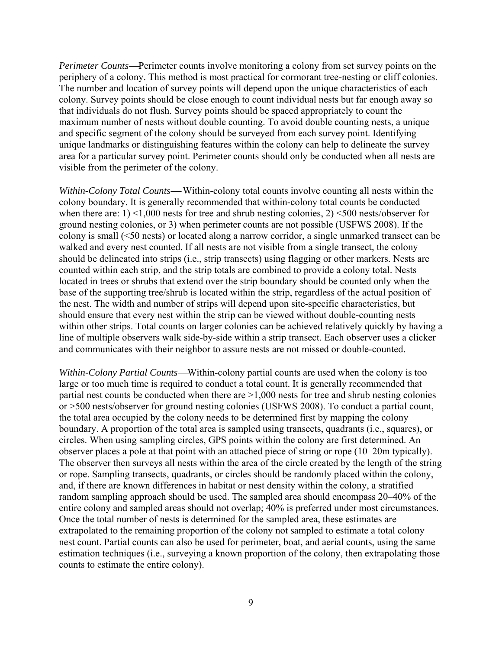*Perimeter Counts*—Perimeter counts involve monitoring a colony from set survey points on the periphery of a colony. This method is most practical for cormorant tree-nesting or cliff colonies. The number and location of survey points will depend upon the unique characteristics of each colony. Survey points should be close enough to count individual nests but far enough away so that individuals do not flush. Survey points should be spaced appropriately to count the maximum number of nests without double counting. To avoid double counting nests, a unique and specific segment of the colony should be surveyed from each survey point. Identifying unique landmarks or distinguishing features within the colony can help to delineate the survey area for a particular survey point. Perimeter counts should only be conducted when all nests are visible from the perimeter of the colony.

*Within-Colony Total Counts*—Within-colony total counts involve counting all nests within the colony boundary. It is generally recommended that within-colony total counts be conducted when there are: 1) <1,000 nests for tree and shrub nesting colonies, 2) <500 nests/observer for ground nesting colonies, or 3) when perimeter counts are not possible (USFWS 2008). If the colony is small (<50 nests) or located along a narrow corridor, a single unmarked transect can be walked and every nest counted. If all nests are not visible from a single transect, the colony should be delineated into strips (i.e., strip transects) using flagging or other markers. Nests are counted within each strip, and the strip totals are combined to provide a colony total. Nests located in trees or shrubs that extend over the strip boundary should be counted only when the base of the supporting tree/shrub is located within the strip, regardless of the actual position of the nest. The width and number of strips will depend upon site-specific characteristics, but should ensure that every nest within the strip can be viewed without double-counting nests within other strips. Total counts on larger colonies can be achieved relatively quickly by having a line of multiple observers walk side-by-side within a strip transect. Each observer uses a clicker and communicates with their neighbor to assure nests are not missed or double-counted.

*Within-Colony Partial Counts*—Within-colony partial counts are used when the colony is too large or too much time is required to conduct a total count. It is generally recommended that partial nest counts be conducted when there are >1,000 nests for tree and shrub nesting colonies or >500 nests/observer for ground nesting colonies (USFWS 2008). To conduct a partial count, the total area occupied by the colony needs to be determined first by mapping the colony boundary. A proportion of the total area is sampled using transects, quadrants (i.e., squares), or circles. When using sampling circles, GPS points within the colony are first determined. An observer places a pole at that point with an attached piece of string or rope (10–20m typically). The observer then surveys all nests within the area of the circle created by the length of the string or rope. Sampling transects, quadrants, or circles should be randomly placed within the colony, and, if there are known differences in habitat or nest density within the colony, a stratified random sampling approach should be used. The sampled area should encompass 20–40% of the entire colony and sampled areas should not overlap; 40% is preferred under most circumstances. Once the total number of nests is determined for the sampled area, these estimates are extrapolated to the remaining proportion of the colony not sampled to estimate a total colony nest count. Partial counts can also be used for perimeter, boat, and aerial counts, using the same estimation techniques (i.e., surveying a known proportion of the colony, then extrapolating those counts to estimate the entire colony).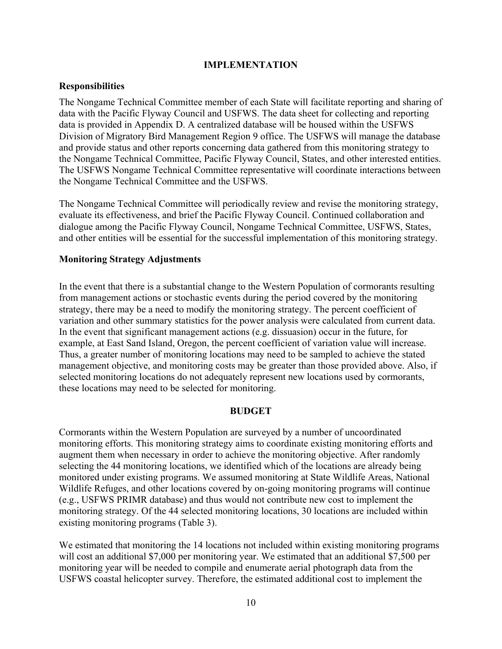#### **IMPLEMENTATION**

#### **Responsibilities**

The Nongame Technical Committee member of each State will facilitate reporting and sharing of data with the Pacific Flyway Council and USFWS. The data sheet for collecting and reporting data is provided in Appendix D. A centralized database will be housed within the USFWS Division of Migratory Bird Management Region 9 office. The USFWS will manage the database and provide status and other reports concerning data gathered from this monitoring strategy to the Nongame Technical Committee, Pacific Flyway Council, States, and other interested entities. The USFWS Nongame Technical Committee representative will coordinate interactions between the Nongame Technical Committee and the USFWS.

The Nongame Technical Committee will periodically review and revise the monitoring strategy, evaluate its effectiveness, and brief the Pacific Flyway Council. Continued collaboration and dialogue among the Pacific Flyway Council, Nongame Technical Committee, USFWS, States, and other entities will be essential for the successful implementation of this monitoring strategy.

#### **Monitoring Strategy Adjustments**

In the event that there is a substantial change to the Western Population of cormorants resulting from management actions or stochastic events during the period covered by the monitoring strategy, there may be a need to modify the monitoring strategy. The percent coefficient of variation and other summary statistics for the power analysis were calculated from current data. In the event that significant management actions (e.g. dissuasion) occur in the future, for example, at East Sand Island, Oregon, the percent coefficient of variation value will increase. Thus, a greater number of monitoring locations may need to be sampled to achieve the stated management objective, and monitoring costs may be greater than those provided above. Also, if selected monitoring locations do not adequately represent new locations used by cormorants, these locations may need to be selected for monitoring.

#### **BUDGET**

Cormorants within the Western Population are surveyed by a number of uncoordinated monitoring efforts. This monitoring strategy aims to coordinate existing monitoring efforts and augment them when necessary in order to achieve the monitoring objective. After randomly selecting the 44 monitoring locations, we identified which of the locations are already being monitored under existing programs. We assumed monitoring at State Wildlife Areas, National Wildlife Refuges, and other locations covered by on-going monitoring programs will continue (e.g., USFWS PRIMR database) and thus would not contribute new cost to implement the monitoring strategy. Of the 44 selected monitoring locations, 30 locations are included within existing monitoring programs (Table 3).

We estimated that monitoring the 14 locations not included within existing monitoring programs will cost an additional \$7,000 per monitoring year. We estimated that an additional \$7,500 per monitoring year will be needed to compile and enumerate aerial photograph data from the USFWS coastal helicopter survey. Therefore, the estimated additional cost to implement the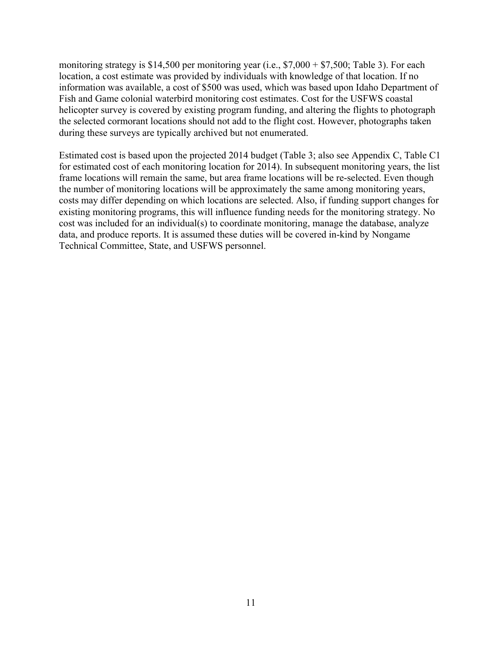monitoring strategy is \$14,500 per monitoring year (i.e.,  $$7,000 + $7,500$ ; Table 3). For each location, a cost estimate was provided by individuals with knowledge of that location. If no information was available, a cost of \$500 was used, which was based upon Idaho Department of Fish and Game colonial waterbird monitoring cost estimates. Cost for the USFWS coastal helicopter survey is covered by existing program funding, and altering the flights to photograph the selected cormorant locations should not add to the flight cost. However, photographs taken during these surveys are typically archived but not enumerated.

Estimated cost is based upon the projected 2014 budget (Table 3; also see Appendix C, Table C1 for estimated cost of each monitoring location for 2014). In subsequent monitoring years, the list frame locations will remain the same, but area frame locations will be re-selected. Even though the number of monitoring locations will be approximately the same among monitoring years, costs may differ depending on which locations are selected. Also, if funding support changes for existing monitoring programs, this will influence funding needs for the monitoring strategy. No cost was included for an individual(s) to coordinate monitoring, manage the database, analyze data, and produce reports. It is assumed these duties will be covered in-kind by Nongame Technical Committee, State, and USFWS personnel.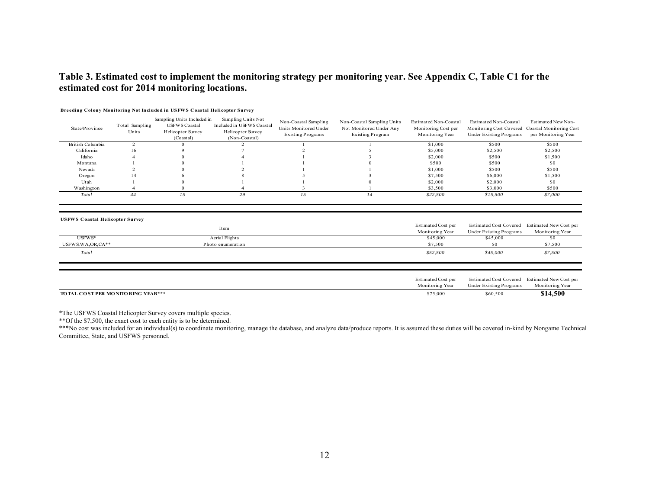#### **Table 3. Estimated cost to implement the monitoring strategy per monitoring year. See Appendix C, Table C1 for the estimated cost for 2014 monitoring locations.**

| State/Province   | Total Sampling<br>Units | Sampling Units Included in<br><b>USFWS Coastal</b><br>Helicopter Survey<br>(Coastal) | Sampling Units Not<br>Included in USFWS Coastal<br>Helicopter Survey<br>(Non-Coastal) | Non-Coastal Sampling<br>Units Monitored Under<br><b>Existing Programs</b> | Non-Coastal Sampling Units<br>Not Monitored Under Any<br>Existing Program | Estimated Non-Coastal<br>Monitoring Cost per<br>Monitoring Year | Estimated Non-Coastal<br>Monitoring Cost Covered<br>Under Existing Programs | Estimated New Non-<br>Coastal Monitoring Cost<br>per Monitoring Year |
|------------------|-------------------------|--------------------------------------------------------------------------------------|---------------------------------------------------------------------------------------|---------------------------------------------------------------------------|---------------------------------------------------------------------------|-----------------------------------------------------------------|-----------------------------------------------------------------------------|----------------------------------------------------------------------|
| British Columbia |                         |                                                                                      |                                                                                       |                                                                           |                                                                           | \$1.000                                                         | \$500                                                                       | \$500                                                                |
| California       | 16                      |                                                                                      |                                                                                       |                                                                           |                                                                           | \$5,000                                                         | \$2,500                                                                     | \$2,500                                                              |
| Idaho            |                         |                                                                                      |                                                                                       |                                                                           |                                                                           | \$2,000                                                         | \$500                                                                       | \$1,500                                                              |
| Montana          |                         |                                                                                      |                                                                                       |                                                                           |                                                                           | \$500                                                           | \$500                                                                       | \$0                                                                  |
| Nevada           |                         |                                                                                      |                                                                                       |                                                                           |                                                                           | \$1,000                                                         | \$500                                                                       | \$500                                                                |
| Oregon           | 14                      |                                                                                      |                                                                                       |                                                                           |                                                                           | \$7,500                                                         | \$6,000                                                                     | \$1,500                                                              |
| Utah             |                         |                                                                                      |                                                                                       |                                                                           |                                                                           | \$2,000                                                         | \$2,000                                                                     | \$0                                                                  |
| Washington       |                         |                                                                                      |                                                                                       |                                                                           |                                                                           | \$3,500                                                         | \$3,000                                                                     | \$500                                                                |
| Total            | 44                      |                                                                                      | 29                                                                                    |                                                                           | 14                                                                        | \$22,500                                                        | \$15,500                                                                    | \$7,000                                                              |
|                  |                         |                                                                                      |                                                                                       |                                                                           |                                                                           |                                                                 |                                                                             |                                                                      |

#### **Breeding Colony Monitoring Not Included in USFWS Coastal Helicopter Survey**

**USFWS Coastal Helicopter Survey**

|                                    | Item              | Estimated Cost per<br>Monitoring Year | <b>Estimated Cost Covered</b><br>Under Existing Programs | Estimated New Cost per<br>Monitoring Year |
|------------------------------------|-------------------|---------------------------------------|----------------------------------------------------------|-------------------------------------------|
| USFWS*                             | Aerial Flights    | \$45,000                              | \$45,000                                                 | <b>SO</b>                                 |
| $USFWS, WA, OR, CA**$              | Photo enumeration | \$7,500                               | \$0                                                      | \$7,500                                   |
| Total                              |                   | \$52,500                              | \$45,000                                                 | \$7,500                                   |
|                                    |                   |                                       |                                                          |                                           |
|                                    |                   | Estimated Cost per<br>Monitoring Year | <b>Estimated Cost Covered</b><br>Under Existing Programs | Estimated New Cost per<br>Monitoring Year |
| TO TAL COST PER MONITORING YEAR*** |                   | \$75,000                              | \$60,500                                                 | \$14,500                                  |

\*The USFWS Coastal Helicopter Survey covers multiple species.

\*\*Of the \$7,500, the exact cost to each entity is to be determined.

\*\*\*No cost was included for an individual(s) to coordinate monitoring, manage the database, and analyze data/produce reports. It is assumed these duties will be covered in-kind by Nongame Technical Committee, State, and USFWS personnel.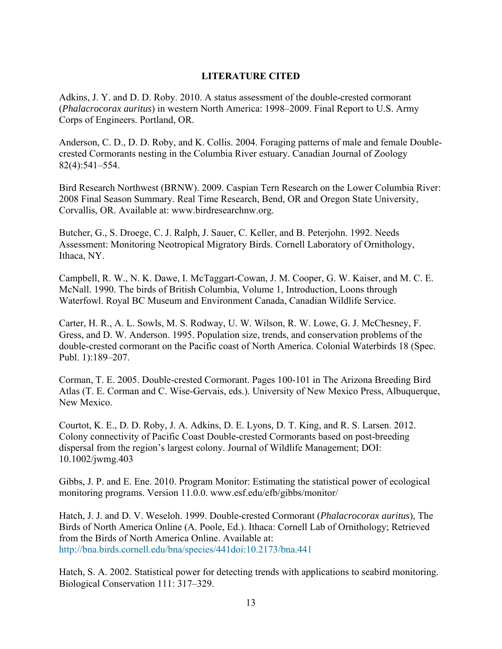## **LITERATURE CITED**

Adkins, J. Y. and D. D. Roby. 2010. A status assessment of the double-crested cormorant (*Phalacrocorax auritus*) in western North America: 1998–2009. Final Report to U.S. Army Corps of Engineers. Portland, OR.

Anderson, C. D., D. D. Roby, and K. Collis. 2004. Foraging patterns of male and female Doublecrested Cormorants nesting in the Columbia River estuary. Canadian Journal of Zoology 82(4):541–554.

Bird Research Northwest (BRNW). 2009. Caspian Tern Research on the Lower Columbia River: 2008 Final Season Summary. Real Time Research, Bend, OR and Oregon State University, Corvallis, OR. Available at: www.birdresearchnw.org.

Butcher, G., S. Droege, C. J. Ralph, J. Sauer, C. Keller, and B. Peterjohn. 1992. Needs Assessment: Monitoring Neotropical Migratory Birds. Cornell Laboratory of Ornithology, Ithaca, NY.

Campbell, R. W., N. K. Dawe, I. McTaggart-Cowan, J. M. Cooper, G. W. Kaiser, and M. C. E. McNall. 1990. The birds of British Columbia, Volume 1, Introduction, Loons through Waterfowl. Royal BC Museum and Environment Canada, Canadian Wildlife Service.

Carter, H. R., A. L. Sowls, M. S. Rodway, U. W. Wilson, R. W. Lowe, G. J. McChesney, F. Gress, and D. W. Anderson. 1995. Population size, trends, and conservation problems of the double-crested cormorant on the Pacific coast of North America. Colonial Waterbirds 18 (Spec. Publ. 1):189–207.

Corman, T. E. 2005. Double-crested Cormorant. Pages 100-101 in The Arizona Breeding Bird Atlas (T. E. Corman and C. Wise-Gervais, eds.). University of New Mexico Press, Albuquerque, New Mexico.

Courtot, K. E., D. D. Roby, J. A. Adkins, D. E. Lyons, D. T. King, and R. S. Larsen. 2012. Colony connectivity of Pacific Coast Double-crested Cormorants based on post-breeding dispersal from the region's largest colony. Journal of Wildlife Management; DOI: 10.1002/jwmg.403

Gibbs, J. P. and E. Ene. 2010. Program Monitor: Estimating the statistical power of ecological monitoring programs. Version 11.0.0. www.esf.edu/efb/gibbs/monitor/

Hatch, J. J. and D. V. Weseloh. 1999. Double-crested Cormorant (*Phalacrocorax auritus*), The Birds of North America Online (A. Poole, Ed.). Ithaca: Cornell Lab of Ornithology; Retrieved from the Birds of North America Online. Available at: http://bna.birds.cornell.edu/bna/species/441doi:10.2173/bna.441

Hatch, S. A. 2002. Statistical power for detecting trends with applications to seabird monitoring. Biological Conservation 111: 317–329.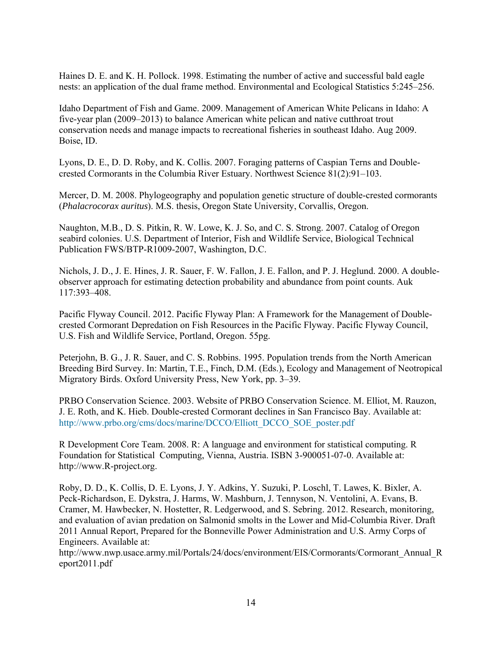Haines D. E. and K. H. Pollock. 1998. Estimating the number of active and successful bald eagle nests: an application of the dual frame method. Environmental and Ecological Statistics 5:245–256.

Idaho Department of Fish and Game. 2009. Management of American White Pelicans in Idaho: A five-year plan (2009–2013) to balance American white pelican and native cutthroat trout conservation needs and manage impacts to recreational fisheries in southeast Idaho. Aug 2009. Boise, ID.

Lyons, D. E., D. D. Roby, and K. Collis. 2007. Foraging patterns of Caspian Terns and Doublecrested Cormorants in the Columbia River Estuary. Northwest Science 81(2):91–103.

Mercer, D. M. 2008. Phylogeography and population genetic structure of double-crested cormorants (*Phalacrocorax auritus*). M.S. thesis, Oregon State University, Corvallis, Oregon.

Naughton, M.B., D. S. Pitkin, R. W. Lowe, K. J. So, and C. S. Strong. 2007. Catalog of Oregon seabird colonies. U.S. Department of Interior, Fish and Wildlife Service, Biological Technical Publication FWS/BTP-R1009-2007, Washington, D.C.

Nichols, J. D., J. E. Hines, J. R. Sauer, F. W. Fallon, J. E. Fallon, and P. J. Heglund. 2000. A doubleobserver approach for estimating detection probability and abundance from point counts. Auk 117:393–408.

Pacific Flyway Council. 2012. Pacific Flyway Plan: A Framework for the Management of Doublecrested Cormorant Depredation on Fish Resources in the Pacific Flyway. Pacific Flyway Council, U.S. Fish and Wildlife Service, Portland, Oregon. 55pg.

Peterjohn, B. G., J. R. Sauer, and C. S. Robbins. 1995. Population trends from the North American Breeding Bird Survey. In: Martin, T.E., Finch, D.M. (Eds.), Ecology and Management of Neotropical Migratory Birds. Oxford University Press, New York, pp. 3–39.

PRBO Conservation Science. 2003. Website of PRBO Conservation Science. M. Elliot, M. Rauzon, J. E. Roth, and K. Hieb. Double-crested Cormorant declines in San Francisco Bay. Available at: http://www.prbo.org/cms/docs/marine/DCCO/Elliott\_DCCO\_SOE\_poster.pdf

R Development Core Team. 2008. R: A language and environment for statistical computing. R Foundation for Statistical Computing, Vienna, Austria. ISBN 3-900051-07-0. Available at: http://www.R-project.org.

Roby, D. D., K. Collis, D. E. Lyons, J. Y. Adkins, Y. Suzuki, P. Loschl, T. Lawes, K. Bixler, A. Peck-Richardson, E. Dykstra, J. Harms, W. Mashburn, J. Tennyson, N. Ventolini, A. Evans, B. Cramer, M. Hawbecker, N. Hostetter, R. Ledgerwood, and S. Sebring. 2012. Research, monitoring, and evaluation of avian predation on Salmonid smolts in the Lower and Mid-Columbia River. Draft 2011 Annual Report, Prepared for the Bonneville Power Administration and U.S. Army Corps of Engineers. Available at:

http://www.nwp.usace.army.mil/Portals/24/docs/environment/EIS/Cormorants/Cormorant\_Annual\_R eport2011.pdf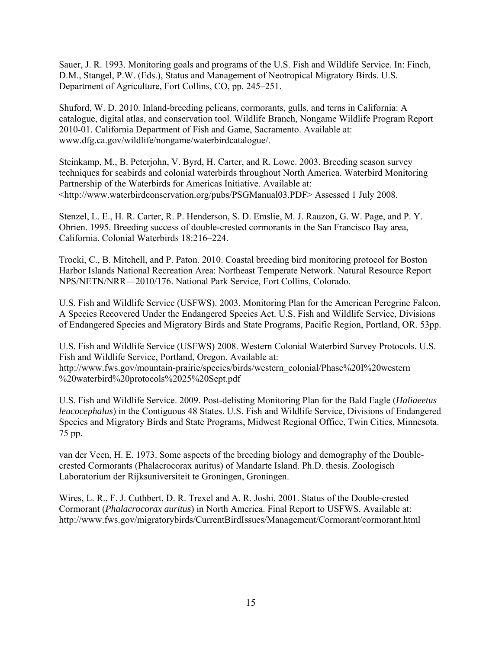Sauer, J. R. 1993. Monitoring goals and programs of the U.S. Fish and Wildlife Service. In: Finch, D.M., Stangel, P.W. (Eds.), Status and Management of Neotropical Migratory Birds. U.S. Department of Agriculture, Fort Collins, CO, pp. 245–251.

Shuford, W. D. 2010. Inland-breeding pelicans, cormorants, gulls, and terns in California: A catalogue, digital atlas, and conservation tool. Wildlife Branch, Nongame Wildlife Program Report 2010-01. California Department of Fish and Game, Sacramento. Available at: www.dfg.ca.gov/wildlife/nongame/waterbirdcatalogue/.

Steinkamp, M., B. Peterjohn, V. Byrd, H. Carter, and R. Lowe. 2003. Breeding season survey techniques for seabirds and colonial waterbirds throughout North America. Waterbird Monitoring Partnership of the Waterbirds for Americas Initiative. Available at: <http://www.waterbirdconservation.org/pubs/PSGManual03.PDF> Assessed 1 July 2008.

Stenzel, L. E., H. R. Carter, R. P. Henderson, S. D. Emslie, M. J. Rauzon, G. W. Page, and P. Y. Obrien. 1995. Breeding success of double-crested cormorants in the San Francisco Bay area, California. Colonial Waterbirds 18:216–224.

Trocki, C., B. Mitchell, and P. Paton. 2010. Coastal breeding bird monitoring protocol for Boston Harbor Islands National Recreation Area: Northeast Temperate Network. Natural Resource Report NPS/NETN/NRR—2010/176. National Park Service, Fort Collins, Colorado.

U.S. Fish and Wildlife Service (USFWS). 2003. Monitoring Plan for the American Peregrine Falcon, A Species Recovered Under the Endangered Species Act. U.S. Fish and Wildlife Service, Divisions of Endangered Species and Migratory Birds and State Programs, Pacific Region, Portland, OR. 53pp.

U.S. Fish and Wildlife Service (USFWS) 2008. Western Colonial Waterbird Survey Protocols. U.S. Fish and Wildlife Service, Portland, Oregon. Available at: http://www.fws.gov/mountain-prairie/species/birds/western\_colonial/Phase%20I%20western %20waterbird%20protocols%2025%20Sept.pdf

U.S. Fish and Wildlife Service. 2009. Post-delisting Monitoring Plan for the Bald Eagle (*Haliaeetus leucocephalus*) in the Contiguous 48 States. U.S. Fish and Wildlife Service, Divisions of Endangered Species and Migratory Birds and State Programs, Midwest Regional Office, Twin Cities, Minnesota. 75 pp.

van der Veen, H. E. 1973. Some aspects of the breeding biology and demography of the Doublecrested Cormorants (Phalacrocorax auritus) of Mandarte Island. Ph.D. thesis. Zoologisch Laboratorium der Rijksuniversiteit te Groningen, Groningen.

Wires, L. R., F. J. Cuthbert, D. R. Trexel and A. R. Joshi. 2001. Status of the Double-crested Cormorant (*Phalacrocorax auritus*) in North America. Final Report to USFWS. Available at: http://www.fws.gov/migratorybirds/CurrentBirdIssues/Management/Cormorant/cormorant.html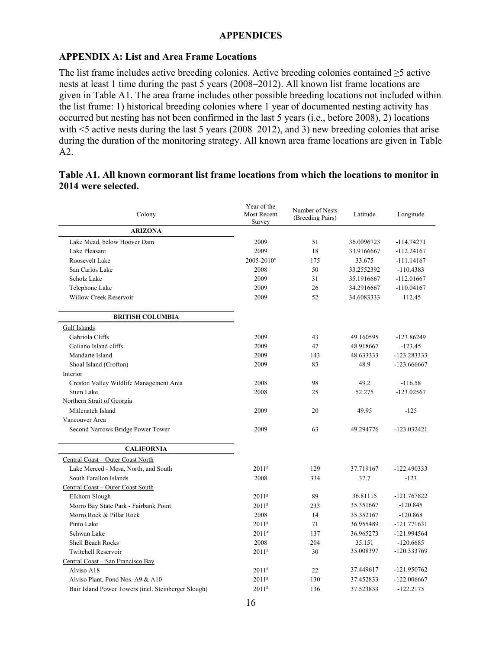#### **APPENDIX A: List and Area Frame Locations**

The list frame includes active breeding colonies. Active breeding colonies contained ≥5 active nests at least 1 time during the past 5 years (2008–2012). All known list frame locations are given in Table A1. The area frame includes other possible breeding locations not included within the list frame: 1) historical breeding colonies where 1 year of documented nesting activity has occurred but nesting has not been confirmed in the last 5 years (i.e., before 2008), 2) locations with <5 active nests during the last 5 years (2008–2012), and 3) new breeding colonies that arise during the duration of the monitoring strategy. All known area frame locations are given in Table A2.

#### **Table A1. All known cormorant list frame locations from which the locations to monitor in 2014 were selected.**

| Colony                                              | Year of the<br>Most Recent<br>Survey | Number of Nests<br>(Breeding Pairs) | Latitude   | Longitude     |
|-----------------------------------------------------|--------------------------------------|-------------------------------------|------------|---------------|
| <b>ARIZONA</b>                                      |                                      |                                     |            |               |
| Lake Mead, below Hoover Dam                         | 2009                                 | 51                                  | 36.0096723 | $-114.74271$  |
| Lake Pleasant                                       | 2009                                 | 18                                  | 33.9166667 | $-112.24167$  |
| Roosevelt Lake                                      | $2005 - 2010^e$                      | 175                                 | 33.675     | $-111.14167$  |
| San Carlos Lake                                     | 2008                                 | 50                                  | 33.2552392 | $-110.4383$   |
| Scholz Lake                                         | 2009                                 | 31                                  | 35.1916667 | $-112.01667$  |
| Telephone Lake                                      | 2009                                 | 26                                  | 34.2916667 | $-110.04167$  |
| Willow Creek Reservoir                              | 2009                                 | 52                                  | 34.6083333 | $-112.45$     |
| <b>BRITISH COLUMBIA</b>                             |                                      |                                     |            |               |
| <b>Gulf Islands</b>                                 |                                      |                                     |            |               |
| Gabriola Cliffs                                     | 2009                                 | 43                                  | 49.160595  | $-123.86249$  |
| Galiano Island cliffs                               | 2009                                 | 47                                  | 48.918667  | $-123.45$     |
| Mandarte Island                                     | 2009                                 | 143                                 | 48.633333  | -123.283333   |
| Shoal Island (Crofton)                              | 2009                                 | 83                                  | 48.9       | $-123.666667$ |
| Interior                                            |                                      |                                     |            |               |
| Creston Valley Wildlife Management Area             | 2008                                 | 98                                  | 49.2       | $-116.58$     |
| Stum Lake                                           | 2008                                 | 25                                  | 52.275     | $-123.02567$  |
| Northern Strait of Georgia                          |                                      |                                     |            |               |
| Mitlenatch Island                                   | 2009                                 | 20                                  | 49.95      | $-125$        |
| Vancouver Area                                      |                                      |                                     |            |               |
| Second Narrows Bridge Power Tower                   | 2009                                 | 63                                  | 49.294776  | $-123.032421$ |
| <b>CALIFORNIA</b>                                   |                                      |                                     |            |               |
| Central Coast - Outer Coast North                   |                                      |                                     |            |               |
| Lake Merced - Mesa, North, and South                | 2011 <sup>g</sup>                    | 129                                 | 37.719167  | $-122.490333$ |
| South Farallon Islands                              | 2008                                 | 334                                 | 37.7       | $-123$        |
| Central Coast - Outer Coast South                   |                                      |                                     |            |               |
| Elkhorn Slough                                      | 2011 <sup>g</sup>                    | 89                                  | 36.81115   | -121.767822   |
| Morro Bay State Park - Fairbank Point               | 2011 <sup>g</sup>                    | 233                                 | 35.351667  | $-120.845$    |
| Morro Rock & Pillar Rock                            | 2008                                 | 14                                  | 35.352167  | $-120.868$    |
| Pinto Lake                                          | 2011 <sup>g</sup>                    | 71                                  | 36.955489  | $-121.771631$ |
| Schwan Lake                                         | $2011^a$                             | 137                                 | 36.965273  | -121.994564   |
| <b>Shell Beach Rocks</b>                            | 2008                                 | 204                                 | 35.151     | $-120.6685$   |
| Twitchell Reservoir                                 | 2011 <sup>g</sup>                    | 30                                  | 35.008397  | -120.333769   |
| Central Coast - San Francisco Bay                   |                                      |                                     |            |               |
| Alviso A18                                          | 2011 <sup>g</sup>                    | 22                                  | 37.449617  | -121.950762   |
| Alviso Plant, Pond Nos. A9 & A10                    | 2011 <sup>g</sup>                    | 130                                 | 37.452833  | $-122.006667$ |
| Bair Island Power Towers (incl. Steinberger Slough) | 2011 <sup>g</sup>                    | 136                                 | 37.523833  | $-122.2175$   |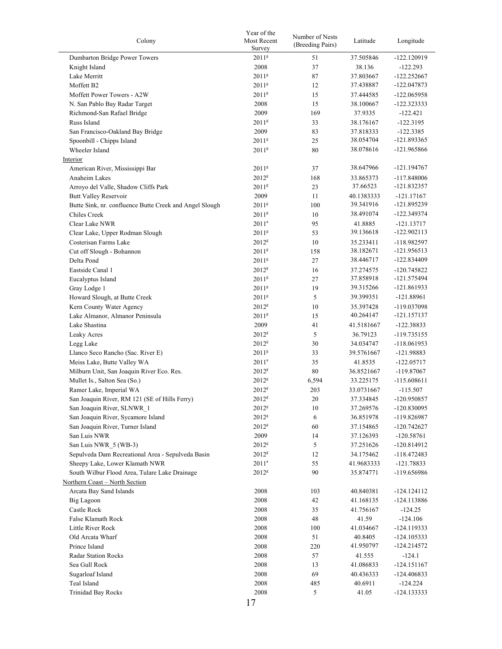| Colony                                                  | Year of the<br>Most Recent<br>Survey | Number of Nests<br>(Breeding Pairs) | Latitude   | Longitude     |
|---------------------------------------------------------|--------------------------------------|-------------------------------------|------------|---------------|
| Dumbarton Bridge Power Towers                           | 2011 <sup>g</sup>                    | 51                                  | 37.505846  | $-122.120919$ |
| Knight Island                                           | 2008                                 | 37                                  | 38.136     | $-122.293$    |
| Lake Merritt                                            | 2011 <sup>g</sup>                    | 87                                  | 37.803667  | $-122.252667$ |
| Moffett B2                                              | 2011 <sup>g</sup>                    | 12                                  | 37.438887  | -122.047873   |
| Moffett Power Towers - A2W                              | 2011 <sup>g</sup>                    | 15                                  |            |               |
|                                                         |                                      |                                     | 37.444585  | $-122.065958$ |
| N. San Pablo Bay Radar Target                           | 2008                                 | 15                                  | 38.100667  | $-122.323333$ |
| Richmond-San Rafael Bridge                              | 2009                                 | 169                                 | 37.9335    | $-122.421$    |
| Russ Island                                             | $2011^8$                             | 33                                  | 38.176167  | $-122.3195$   |
| San Francisco-Oakland Bay Bridge                        | 2009                                 | 83                                  | 37.818333  | -122.3385     |
| Spoonbill - Chipps Island                               | 2011 <sup>g</sup>                    | 25                                  | 38.054704  | -121.893365   |
| Wheeler Island                                          | 2011 <sup>g</sup>                    | 80                                  | 38.078616  | -121.965866   |
| Interior                                                |                                      |                                     |            |               |
| American River, Mississippi Bar                         | 2011 <sup>g</sup>                    | 37                                  | 38.647966  | $-121.194767$ |
| Anaheim Lakes                                           | 2012 <sup>g</sup>                    | 168                                 | 33.865373  | $-117.848006$ |
| Arroyo del Valle, Shadow Cliffs Park                    | $2011^8$                             | 23                                  | 37.66523   | -121.832357   |
| <b>Butt Valley Reservoir</b>                            | 2009                                 | 11                                  | 40.1383333 | $-121.17167$  |
| Butte Sink, nr. confluence Butte Creek and Angel Slough | 2011 <sup>g</sup>                    | 100                                 | 39.341916  | -121.895239   |
| Chiles Creek                                            | $2011^8$                             | 10                                  | 38.491074  | -122.349374   |
|                                                         | $2011^a$                             | 95                                  |            |               |
| Clear Lake NWR                                          |                                      |                                     | 41.8885    | $-121.13717$  |
| Clear Lake, Upper Rodman Slough                         | $2011^8$                             | 53                                  | 39.136618  | $-122.902113$ |
| Costerisan Farms Lake                                   | 2012 <sup>g</sup>                    | 10                                  | 35.233411  | -118.982597   |
| Cut off Slough - Bohannon                               | 2011 <sup>g</sup>                    | 158                                 | 38.182671  | -121.956513   |
| Delta Pond                                              | 2011 <sup>g</sup>                    | 27                                  | 38.446717  | $-122.834409$ |
| Eastside Canal 1                                        | 2012 <sup>g</sup>                    | 16                                  | 37.274575  | $-120.745822$ |
| Eucalyptus Island                                       | 2011 <sup>g</sup>                    | 27                                  | 37.858918  | -121.575494   |
| Gray Lodge 1                                            | 2011 <sup>g</sup>                    | 19                                  | 39.315266  | -121.861933   |
| Howard Slough, at Butte Creek                           | 2011 <sup>g</sup>                    | 5                                   | 39.399351  | $-121.88961$  |
| Kern County Water Agency                                | $2012^8$                             | 10                                  | 35.397428  | -119.037098   |
| Lake Almanor, Almanor Peninsula                         | 2011 <sup>g</sup>                    | 15                                  | 40.264147  | -121.157137   |
| Lake Shastina                                           | 2009                                 | 41                                  | 41.5181667 | $-122.38833$  |
| Leaky Acres                                             | 2012 <sup>g</sup>                    | 5                                   | 36.79123   | -119.735155   |
|                                                         |                                      |                                     |            |               |
| Legg Lake                                               | $2012^8$                             | 30                                  | 34.034747  | $-118.061953$ |
| Llanco Seco Rancho (Sac. River E)                       | $2011^{\rm g}$                       | 33                                  | 39.5761667 | $-121.98883$  |
| Meiss Lake, Butte Valley WA                             | $2011^a$                             | 35                                  | 41.8535    | $-122.05717$  |
| Milburn Unit, San Joaquin River Eco. Res.               | 2012 <sup>g</sup>                    | 80                                  | 36.8521667 | $-119.87067$  |
| Mullet Is., Salton Sea (So.)                            | 2012 <sup>g</sup>                    | 6,594                               | 33.225175  | $-115.608611$ |
| Ramer Lake, Imperial WA                                 | $2012^8$                             | 203                                 | 33.0731667 | $-115.507$    |
| San Joaquin River, RM 121 (SE of Hills Ferry)           | $2012^{\rm g}$                       | 20                                  | 37.334845  | -120.950857   |
| San Joaquin River, SLNWR 1                              | 2012 <sup>g</sup>                    | 10                                  | 37.269576  | -120.830095   |
| San Joaquin River, Sycamore Island                      | 2012 <sup>g</sup>                    | 6                                   | 36.851978  | -119.826987   |
| San Joaquin River, Turner Island                        | 2012 <sup>g</sup>                    | 60                                  | 37.154865  | $-120.742627$ |
| San Luis NWR                                            | 2009                                 | 14                                  | 37.126393  | $-120.58761$  |
| San Luis NWR 5 (WB-3)                                   | 2012 <sup>g</sup>                    | 5                                   | 37.251626  | -120.814912   |
| Sepulveda Dam Recreational Area - Sepulveda Basin       | 2012 <sup>g</sup>                    | 12                                  | 34.175462  | $-118.472483$ |
| Sheepy Lake, Lower Klamath NWR                          | $2011^a$                             | 55                                  | 41.9683333 | $-121.78833$  |
| South Wilbur Flood Area, Tulare Lake Drainage           | $2012^8$                             | 90                                  | 35.874771  | -119.656986   |
| Northern Coast - North Section                          |                                      |                                     |            |               |
|                                                         |                                      |                                     |            |               |
| Arcata Bay Sand Islands                                 | 2008                                 | 103                                 | 40.840381  | $-124.124112$ |
| Big Lagoon                                              | 2008                                 | 42                                  | 41.168135  | -124.113886   |
| Castle Rock                                             | 2008                                 | 35                                  | 41.756167  | $-124.25$     |
| False Klamath Rock                                      | 2008                                 | 48                                  | 41.59      | $-124.106$    |
| Little River Rock                                       | 2008                                 | 100                                 | 41.034667  | $-124.119333$ |
| Old Arcata Wharf                                        | 2008                                 | 51                                  | 40.8405    | $-124.105333$ |
| Prince Island                                           | 2008                                 | 220                                 | 41.950797  | $-124.214572$ |
| <b>Radar Station Rocks</b>                              | 2008                                 | 57                                  | 41.555     | $-124.1$      |
| Sea Gull Rock                                           | 2008                                 | 13                                  | 41.086833  | $-124.151167$ |
| Sugarloaf Island                                        | 2008                                 | 69                                  | 40.436333  | -124.406833   |
| Teal Island                                             | 2008                                 | 485                                 | 40.6911    | $-124.224$    |
| <b>Trinidad Bay Rocks</b>                               | 2008                                 | 5                                   | 41.05      | -124.133333   |
|                                                         |                                      |                                     |            |               |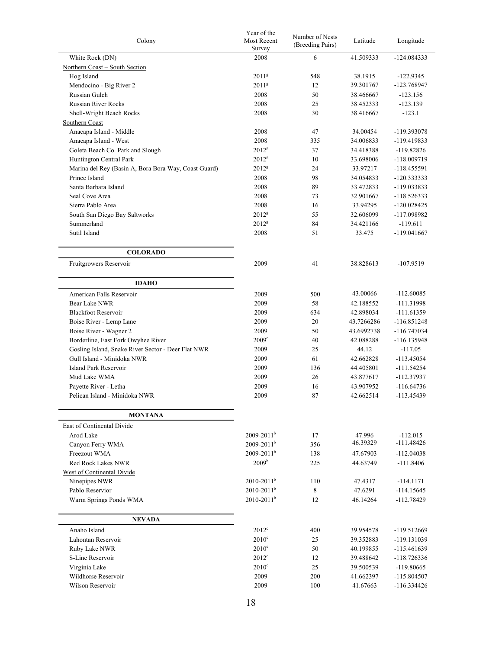| Colony                                               | Year of the<br>Most Recent<br>Survey | Number of Nests<br>(Breeding Pairs) | Latitude   | Longitude     |
|------------------------------------------------------|--------------------------------------|-------------------------------------|------------|---------------|
| White Rock (DN)                                      | 2008                                 | 6                                   | 41.509333  | $-124.084333$ |
| Northern Coast - South Section                       |                                      |                                     |            |               |
| Hog Island                                           | 2011 <sup>g</sup>                    | 548                                 | 38.1915    | $-122.9345$   |
| Mendocino - Big River 2                              | 2011 <sup>g</sup>                    | 12                                  | 39.301767  | -123.768947   |
| Russian Gulch                                        | 2008                                 | 50                                  | 38.466667  | $-123.156$    |
| <b>Russian River Rocks</b>                           | 2008                                 | 25                                  | 38.452333  | $-123.139$    |
| Shell-Wright Beach Rocks                             | 2008                                 | 30                                  | 38.416667  | $-123.1$      |
| Southern Coast                                       |                                      |                                     |            |               |
| Anacapa Island - Middle                              | 2008                                 | 47                                  | 34.00454   | -119.393078   |
| Anacapa Island - West                                | 2008                                 | 335                                 | 34.006833  | -119.419833   |
| Goleta Beach Co. Park and Slough                     | $2012^8$                             | 37                                  | 34.418388  | $-119.82826$  |
| Huntington Central Park                              | 2012 <sup>g</sup>                    | 10                                  | 33.698006  | -118.009719   |
| Marina del Rey (Basin A, Bora Bora Way, Coast Guard) | 2012 <sup>g</sup>                    | 24                                  | 33.97217   | -118.455591   |
| Prince Island                                        | 2008                                 | 98                                  | 34.054833  | $-120.333333$ |
| Santa Barbara Island                                 | 2008                                 | 89                                  | 33.472833  | -119.033833   |
| Seal Cove Area                                       | 2008                                 | 73                                  | 32.901667  | $-118.526333$ |
| Sierra Pablo Area                                    | 2008                                 | 16                                  | 33.94295   | $-120.028425$ |
| South San Diego Bay Saltworks                        | 2012 <sup>g</sup>                    | 55                                  | 32.606099  | -117.098982   |
| Summerland                                           | 2012 <sup>g</sup>                    | 84                                  | 34.421166  | $-119.611$    |
| Sutil Island                                         | 2008                                 | 51                                  | 33.475     | $-119.041667$ |
| <b>COLORADO</b>                                      |                                      |                                     |            |               |
| Fruitgrowers Reservoir                               | 2009                                 | 41                                  | 38.828613  | $-107.9519$   |
| <b>IDAHO</b>                                         |                                      |                                     |            |               |
| American Falls Reservoir                             | 2009                                 | 500                                 | 43.00066   | $-112.60085$  |
| Bear Lake NWR                                        | 2009                                 | 58                                  | 42.188552  | $-111.31998$  |
| <b>Blackfoot Reservoir</b>                           | 2009                                 | 634                                 | 42.898034  | $-111.61359$  |
| Boise River - Lemp Lane                              | 2009                                 | 20                                  | 43.7266286 | $-116.851248$ |
| Boise River - Wagner 2                               | 2009                                 | 50                                  | 43.6992738 | $-116.747034$ |
| Borderline, East Fork Owyhee River                   | $2009^{\circ}$                       | 40                                  | 42.088288  | $-116.135948$ |
| Gosling Island, Snake River Sector - Deer Flat NWR   | 2009                                 | 25                                  | 44.12      | $-117.05$     |
| Gull Island - Minidoka NWR                           | 2009                                 | 61                                  | 42.662828  | $-113.45054$  |
| Island Park Reservoir                                | 2009                                 | 136                                 | 44.405801  | $-111.54254$  |
| Mud Lake WMA                                         | 2009                                 | 26                                  | 43.877617  | -112.37937    |
| Payette River - Letha                                | 2009                                 | 16                                  | 43.907952  | $-116.64736$  |
| Pelican Island - Minidoka NWR                        | 2009                                 | 87                                  | 42.662514  | -113.45439    |
| <b>MONTANA</b>                                       |                                      |                                     |            |               |
| <b>East of Continental Divide</b>                    |                                      |                                     |            |               |
| Arod Lake                                            | $2009 - 2011$ <sup>b</sup>           | 17                                  | 47.996     | $-112.015$    |
| Canyon Ferry WMA                                     | $2009 - 2011$ <sup>b</sup>           | 356                                 | 46.39329   | $-111.48426$  |
| Freezout WMA                                         | $2009 - 2011$ <sup>b</sup>           | 138                                 | 47.67903   | $-112.04038$  |
| <b>Red Rock Lakes NWR</b>                            | 2009 <sup>b</sup>                    | 225                                 | 44.63749   | $-111.8406$   |
| <b>West of Continental Divide</b>                    |                                      |                                     |            |               |
| Ninepipes NWR                                        | $2010 - 2011$ <sup>b</sup>           | 110                                 | 47.4317    | $-114.1171$   |
| Pablo Reservior                                      | $2010 - 2011$ <sup>b</sup>           | 8                                   | 47.6291    | $-114.15645$  |
| Warm Springs Ponds WMA                               | $2010 - 2011$ <sup>b</sup>           | 12                                  | 46.14264   | -112.78429    |
| <b>NEVADA</b>                                        |                                      |                                     |            |               |
| Anaho Island                                         | $2012^{\circ}$                       | 400                                 | 39.954578  | -119.512669   |
| Lahontan Reservoir                                   | $2010^{\circ}$                       | 25                                  | 39.352883  | -119.131039   |
| Ruby Lake NWR                                        | $2010^{\circ}$                       | 50                                  | 40.199855  | $-115.461639$ |
| S-Line Reservoir                                     | $2012^{\circ}$                       | 12                                  | 39.488642  | $-118.726336$ |
| Virginia Lake                                        | $2010^{\circ}$                       | 25                                  | 39.500539  | $-119.80665$  |
| Wildhorse Reservoir                                  | 2009                                 | 200                                 | 41.662397  | $-115.804507$ |
| Wilson Reservoir                                     | 2009                                 | 100                                 | 41.67663   | $-116.334426$ |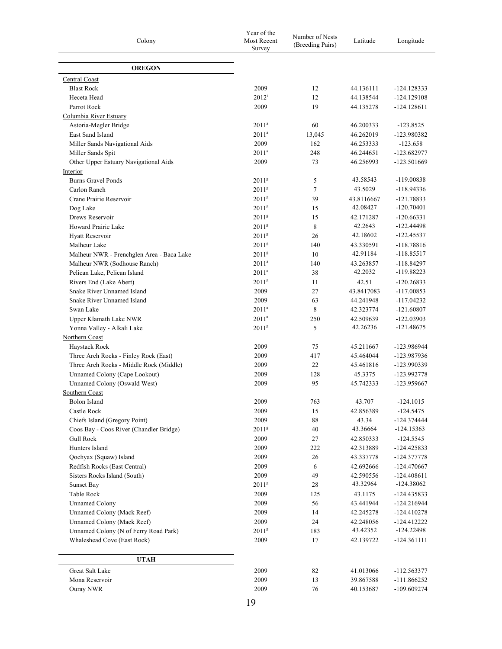| Colony                                    | Year of the<br>Most Recent<br>Survey | Number of Nests<br>(Breeding Pairs) | Latitude   | Longitude     |
|-------------------------------------------|--------------------------------------|-------------------------------------|------------|---------------|
| <b>OREGON</b>                             |                                      |                                     |            |               |
| Central Coast                             |                                      |                                     |            |               |
| <b>Blast Rock</b>                         | 2009                                 | 12                                  | 44.136111  | $-124.128333$ |
| Heceta Head                               | $2012^{\rm i}$                       | 12                                  | 44.138544  | $-124.129108$ |
| Parrot Rock                               | 2009                                 | 19                                  | 44.135278  | -124.128611   |
| Columbia River Estuary                    |                                      |                                     |            |               |
| Astoria-Megler Bridge                     | $2011^a$                             | 60                                  | 46.200333  | $-123.8525$   |
| East Sand Island                          | $2011^a$                             | 13,045                              | 46.262019  | -123.980382   |
| Miller Sands Navigational Aids            | 2009                                 | 162                                 | 46.253333  | $-123.658$    |
| Miller Sands Spit                         | $2011^a$                             | 248                                 | 46.244651  | -123.682977   |
| Other Upper Estuary Navigational Aids     | 2009                                 | 73                                  | 46.256993  | $-123.501669$ |
| Interior                                  |                                      |                                     |            |               |
| <b>Burns Gravel Ponds</b>                 | 2011 <sup>g</sup>                    | 5                                   | 43.58543   | -119.00838    |
| Carlon Ranch                              | 2011 <sup>g</sup>                    | 7                                   | 43.5029    | -118.94336    |
| Crane Prairie Reservoir                   | 2011 <sup>g</sup>                    | 39                                  | 43.8116667 | $-121.78833$  |
| Dog Lake                                  | 2011 <sup>g</sup>                    | 15                                  | 42.08427   | $-120.70401$  |
| Drews Reservoir                           | 2011 <sup>g</sup>                    | 15                                  | 42.171287  | $-120.66331$  |
| Howard Prairie Lake                       | 2011 <sup>g</sup>                    | $\,8\,$                             | 42.2643    | -122.44498    |
| Hyatt Reservoir                           | 2011 <sup>g</sup>                    | 26                                  | 42.18602   | -122.45537    |
| Malheur Lake                              | 2011 <sup>g</sup>                    | 140                                 | 43.330591  | $-118.78816$  |
| Malheur NWR - Frenchglen Area - Baca Lake | 2011 <sup>g</sup>                    | 10                                  | 42.91184   | -118.85517    |
| Malheur NWR (Sodhouse Ranch)              | $2011^a$                             | 140                                 | 43.263857  | -118.84297    |
| Pelican Lake, Pelican Island              | $2011^a$                             | 38                                  | 42.2032    | -119.88223    |
| Rivers End (Lake Abert)                   | 2011 <sup>g</sup>                    | 11                                  | 42.51      | $-120.26833$  |
| Snake River Unnamed Island                | 2009                                 | 27                                  | 43.8417083 | $-117.00853$  |
| Snake River Unnamed Island                | 2009                                 | 63                                  | 44.241948  | $-117.04232$  |
| Swan Lake                                 | $2011^a$                             | 8                                   | 42.323774  | $-121.60807$  |
| Upper Klamath Lake NWR                    | 2011 <sup>a</sup>                    | 250                                 | 42.509639  | $-122.03903$  |
| Yonna Valley - Alkali Lake                | 2011 <sup>g</sup>                    | 5                                   | 42.26236   | -121.48675    |
| Northern Coast                            |                                      |                                     |            |               |
| Haystack Rock                             | 2009                                 | 75                                  | 45.211667  | -123.986944   |
| Three Arch Rocks - Finley Rock (East)     | 2009                                 | 417                                 | 45.464044  | -123.987936   |
| Three Arch Rocks - Middle Rock (Middle)   | 2009                                 | 22                                  | 45.461816  | -123.990339   |
| Unnamed Colony (Cape Lookout)             | 2009                                 | 128                                 | 45.3375    | -123.992778   |
| Unnamed Colony (Oswald West)              | 2009                                 | 95                                  | 45.742333  | -123.959667   |
| Southern Coast                            |                                      |                                     |            |               |
| Bolon Island                              | 2009                                 | 763                                 | 43.707     | $-124.1015$   |
| Castle Rock                               | 2009                                 | 15                                  | 42.856389  | $-124.5475$   |
| Chiefs Island (Gregory Point)             | 2009                                 | 88                                  | 43.34      | -124.374444   |
| Coos Bay - Coos River (Chandler Bridge)   | 2011 <sup>g</sup>                    | $40\,$                              | 43.36664   | $-124.15363$  |
| <b>Gull Rock</b>                          | 2009                                 | 27                                  | 42.850333  | $-124.5545$   |
| Hunters Island                            | 2009                                 | 222                                 | 42.313889  | $-124.425833$ |
| Qochyax (Squaw) Island                    | 2009                                 | 26                                  | 43.337778  | -124.377778   |
| Redfish Rocks (East Central)              | 2009                                 | 6                                   | 42.692666  | -124.470667   |
| Sisters Rocks Island (South)              | 2009                                 | 49                                  | 42.590556  | $-124.408611$ |
| Sunset Bay                                | 2011 <sup>g</sup>                    | 28                                  | 43.32964   | $-124.38062$  |
| Table Rock                                | 2009                                 | 125                                 | 43.1175    | -124.435833   |
| <b>Unnamed Colony</b>                     | 2009                                 | 56                                  | 43.441944  | $-124.216944$ |
| Unnamed Colony (Mack Reef)                | 2009                                 | 14                                  | 42.245278  | $-124.410278$ |
| Unnamed Colony (Mack Reef)                | 2009                                 | 24                                  | 42.248056  | -124.412222   |
| Unnamed Colony (N of Ferry Road Park)     | 2011 <sup>g</sup>                    | 183                                 | 43.42352   | $-124.22498$  |
| Whaleshead Cove (East Rock)               | 2009                                 | 17                                  | 42.139722  | -124.361111   |
| <b>UTAH</b>                               |                                      |                                     |            |               |
| Great Salt Lake                           | 2009                                 | 82                                  | 41.013066  | -112.563377   |
| Mona Reservoir                            | 2009                                 | 13                                  | 39.867588  | $-111.866252$ |
| Ouray NWR                                 | 2009                                 | 76                                  | 40.153687  | $-109.609274$ |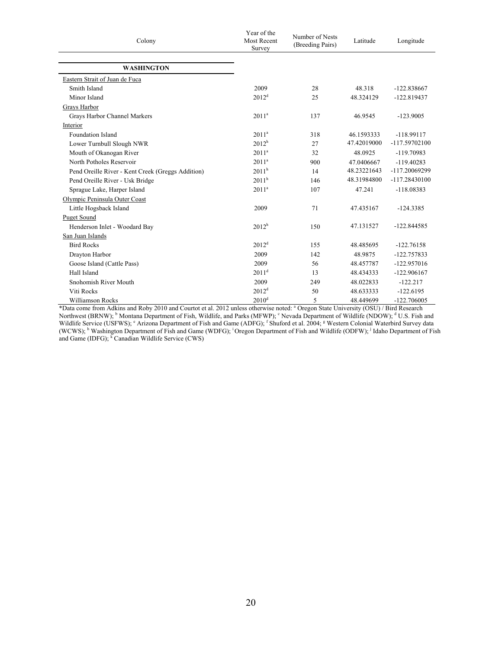| Colony                                            | Year of the<br><b>Most Recent</b><br>Survey | Number of Nests<br>(Breeding Pairs) | Latitude    | Longitude       |  |
|---------------------------------------------------|---------------------------------------------|-------------------------------------|-------------|-----------------|--|
| <b>WASHINGTON</b>                                 |                                             |                                     |             |                 |  |
| Eastern Strait of Juan de Fuca                    |                                             |                                     |             |                 |  |
| Smith Island                                      | 2009                                        | 28                                  | 48.318      | $-122.838667$   |  |
| Minor Island                                      | $2012^d$                                    | 25                                  | 48.324129   | $-122.819437$   |  |
| Grays Harbor                                      |                                             |                                     |             |                 |  |
| Grays Harbor Channel Markers                      | $2011^a$                                    | 137                                 | 46.9545     | $-123.9005$     |  |
| Interior                                          |                                             |                                     |             |                 |  |
| Foundation Island                                 | $2011^a$                                    | 318                                 | 46.1593333  | $-118.99117$    |  |
| Lower Turnbull Slough NWR                         | $2012^h$                                    | 27                                  | 47.42019000 | $-117.59702100$ |  |
| Mouth of Okanogan River                           | 2011 <sup>a</sup>                           | 32                                  | 48.0925     | $-119.70983$    |  |
| North Potholes Reservoir                          | $2011^a$                                    | 900                                 | 47.0406667  | $-119.40283$    |  |
| Pend Oreille River - Kent Creek (Greggs Addition) | 2011 <sup>h</sup>                           | 14                                  | 48.23221643 | -117.20069299   |  |
| Pend Oreille River - Usk Bridge                   | $2011^h$                                    | 146                                 | 48.31984800 | -117.28430100   |  |
| Sprague Lake, Harper Island                       | $2011^a$                                    | 107                                 | 47.241      | $-118.08383$    |  |
| Olympic Peninsula Outer Coast                     |                                             |                                     |             |                 |  |
| Little Hogsback Island                            | 2009                                        | 71                                  | 47.435167   | $-124.3385$     |  |
| <b>Puget Sound</b>                                |                                             |                                     |             |                 |  |
| Henderson Inlet - Woodard Bay                     | 2012 <sup>h</sup>                           | 150                                 | 47.131527   | $-122.844585$   |  |
| San Juan Islands                                  |                                             |                                     |             |                 |  |
| <b>Bird Rocks</b>                                 | $2012^d$                                    | 155                                 | 48.485695   | $-122.76158$    |  |
| Drayton Harbor                                    | 2009                                        | 142                                 | 48.9875     | $-122.757833$   |  |
| Goose Island (Cattle Pass)                        | 2009                                        | 56                                  | 48.457787   | $-122.957016$   |  |
| Hall Island                                       | $2011^d$                                    | 13                                  | 48.434333   | $-122.906167$   |  |
| Snohomish River Mouth                             | 2009                                        | 249                                 | 48.022833   | $-122.217$      |  |
| Viti Rocks                                        | $2012^d$                                    | 50                                  | 48.633333   | $-122.6195$     |  |
| <b>Williamson Rocks</b>                           | 2010 <sup>d</sup>                           | 5                                   | 48.449699   | $-122.706005$   |  |

\*Data come from Adkins and Roby 2010 and Courtot et al. 2012 unless otherwise noted: a Oregon State University (OSU) / Bird Research Northwest (BRNW); <sup>b</sup> Montana Department of Fish, Wildlife, and Parks (MFWP); <sup>c</sup> Nevada Department of Wildlife (NDOW); <sup>d</sup> U.S. Fish and Wildlife Service (USFWS); <sup>e</sup> Arizona Department of Fish and Game (ADFG); <sup>f</sup> Shuford et al. 2004; <sup>g</sup> Western Colonial Waterbird Survey data (WCWS); <sup>h</sup> Washington Department of Fish and Game (WDFG); <sup>i</sup> Oregon Department of Fish and Wildlife (ODFW); <sup>j</sup> Idaho Department of Fish and Game (IDFG); <sup>k</sup> Canadian Wildlife Service (CWS)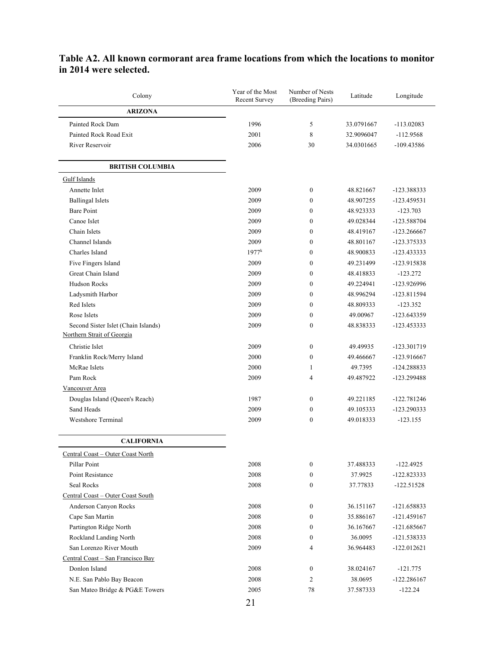| Colony                                                            | Year of the Most<br><b>Recent Survey</b> | Number of Nests<br>(Breeding Pairs) | Latitude   | Longitude     |
|-------------------------------------------------------------------|------------------------------------------|-------------------------------------|------------|---------------|
| <b>ARIZONA</b>                                                    |                                          |                                     |            |               |
| Painted Rock Dam                                                  | 1996                                     | 5                                   | 33.0791667 | $-113.02083$  |
| Painted Rock Road Exit                                            | 2001                                     | 8                                   | 32.9096047 | $-112.9568$   |
| River Reservoir                                                   | 2006                                     | 30                                  | 34.0301665 | -109.43586    |
| <b>BRITISH COLUMBIA</b>                                           |                                          |                                     |            |               |
| Gulf Islands                                                      |                                          |                                     |            |               |
| Annette Inlet                                                     | 2009                                     | $\boldsymbol{0}$                    | 48.821667  | -123.388333   |
| <b>Ballingal Islets</b>                                           | 2009                                     | $\mathbf{0}$                        | 48.907255  | $-123.459531$ |
| <b>Bare Point</b>                                                 | 2009                                     | $\mathbf{0}$                        | 48.923333  | $-123.703$    |
| Canoe Islet                                                       | 2009                                     | $\mathbf{0}$                        | 49.028344  | -123.588704   |
| Chain Islets                                                      | 2009                                     | $\mathbf{0}$                        | 48.419167  | -123.266667   |
| Channel Islands                                                   | 2009                                     | $\boldsymbol{0}$                    | 48.801167  | -123.375333   |
| Charles Island                                                    | $1977^k$                                 | $\boldsymbol{0}$                    | 48.900833  | -123.433333   |
| Five Fingers Island                                               | 2009                                     | $\boldsymbol{0}$                    | 49.231499  | -123.915838   |
| Great Chain Island                                                | 2009                                     | $\boldsymbol{0}$                    | 48.418833  | $-123.272$    |
| <b>Hudson Rocks</b>                                               | 2009                                     | $\boldsymbol{0}$                    | 49.224941  | -123.926996   |
| Ladysmith Harbor                                                  | 2009                                     | $\boldsymbol{0}$                    | 48.996294  | -123.811594   |
| Red Islets                                                        | 2009                                     | $\mathbf{0}$                        | 48.809333  | $-123.352$    |
| Rose Islets                                                       | 2009                                     | $\boldsymbol{0}$                    | 49.00967   | $-123.643359$ |
| Second Sister Islet (Chain Islands)<br>Northern Strait of Georgia | 2009                                     | $\boldsymbol{0}$                    | 48.838333  | -123.453333   |
| Christie Islet                                                    | 2009                                     | $\boldsymbol{0}$                    | 49.49935   | -123.301719   |
| Franklin Rock/Merry Island                                        | 2000                                     | $\boldsymbol{0}$                    | 49.466667  | -123.916667   |
| McRae Islets                                                      | 2000                                     | 1                                   | 49.7395    | -124.288833   |
| Pam Rock                                                          | 2009                                     | 4                                   | 49.487922  | -123.299488   |
| Vancouver Area                                                    |                                          |                                     |            |               |
| Douglas Island (Queen's Reach)                                    | 1987                                     | $\boldsymbol{0}$                    | 49.221185  | -122.781246   |
| Sand Heads                                                        | 2009                                     | $\boldsymbol{0}$                    | 49.105333  | -123.290333   |
| <b>Westshore Terminal</b>                                         | 2009                                     | $\boldsymbol{0}$                    | 49.018333  | $-123.155$    |
| <b>CALIFORNIA</b>                                                 |                                          |                                     |            |               |
| Central Coast - Outer Coast North                                 |                                          |                                     |            |               |
| Pillar Point                                                      | 2008                                     | $\boldsymbol{0}$                    | 37.488333  | $-122.4925$   |
| Point Resistance                                                  | 2008                                     | $\boldsymbol{0}$                    | 37.9925    | $-122.823333$ |
| Seal Rocks                                                        | 2008                                     | $\boldsymbol{0}$                    | 37.77833   | $-122.51528$  |
| Central Coast - Outer Coast South                                 |                                          |                                     |            |               |
| Anderson Canyon Rocks                                             | 2008                                     | $\boldsymbol{0}$                    | 36.151167  | $-121.658833$ |
| Cape San Martin                                                   | 2008                                     | $\boldsymbol{0}$                    | 35.886167  | -121.459167   |
| Partington Ridge North                                            | 2008                                     | $\boldsymbol{0}$                    | 36.167667  | $-121.685667$ |
| Rockland Landing North                                            | 2008                                     | $\boldsymbol{0}$                    | 36.0095    | -121.538333   |
| San Lorenzo River Mouth                                           | 2009                                     | $\overline{4}$                      | 36.964483  | $-122.012621$ |
| Central Coast - San Francisco Bay                                 |                                          |                                     |            |               |
| Donlon Island                                                     | 2008                                     | $\boldsymbol{0}$                    | 38.024167  | $-121.775$    |
| N.E. San Pablo Bay Beacon                                         | 2008                                     | $\overline{c}$                      | 38.0695    | $-122.286167$ |
| San Mateo Bridge & PG&E Towers                                    | 2005                                     | $78\,$                              | 37.587333  | $-122.24$     |

## **Table A2. All known cormorant area frame locations from which the locations to monitor in 2014 were selected.**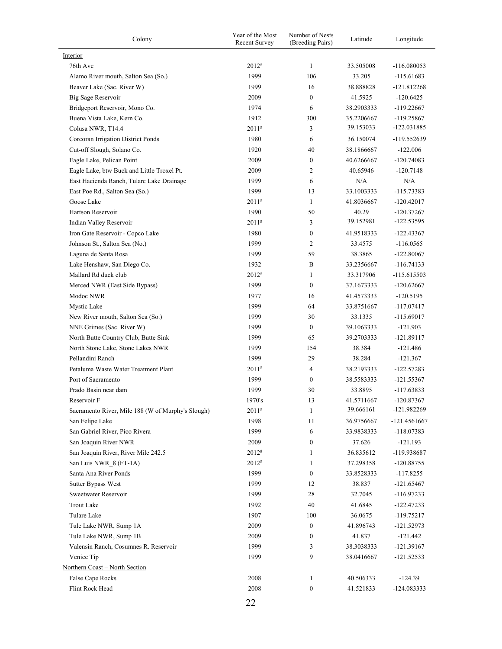| Colony                                            | Year of the Most<br><b>Recent Survey</b> | Number of Nests<br>(Breeding Pairs) |            | Longitude     |
|---------------------------------------------------|------------------------------------------|-------------------------------------|------------|---------------|
| Interior                                          |                                          |                                     |            |               |
| 76th Ave                                          | 2012 <sup>g</sup>                        | $\mathbf{1}$                        | 33.505008  | $-116.080053$ |
| Alamo River mouth, Salton Sea (So.)               | 1999                                     | 106                                 | 33.205     | $-115.61683$  |
| Beaver Lake (Sac. River W)                        | 1999                                     | 16                                  | 38.888828  | $-121.812268$ |
| Big Sage Reservoir                                | 2009                                     | $\mathbf{0}$                        | 41.5925    | $-120.6425$   |
| Bridgeport Reservoir, Mono Co.                    | 1974                                     | 6                                   | 38.2903333 | $-119.22667$  |
| Buena Vista Lake, Kern Co.                        | 1912                                     | 300                                 | 35.2206667 | $-119.25867$  |
| Colusa NWR, T14.4                                 | 2011 <sup>g</sup>                        | 3                                   | 39.153033  | -122.031885   |
| Corcoran Irrigation District Ponds                | 1980                                     | 6                                   | 36.150074  | -119.552639   |
| Cut-off Slough, Solano Co.                        | 1920                                     | 40                                  | 38.1866667 | $-122.006$    |
| Eagle Lake, Pelican Point                         | 2009                                     | $\boldsymbol{0}$                    | 40.6266667 | $-120.74083$  |
| Eagle Lake, btw Buck and Little Troxel Pt.        | 2009                                     | $\overline{c}$                      | 40.65946   | $-120.7148$   |
| East Hacienda Ranch, Tulare Lake Drainage         | 1999                                     | 6                                   | N/A        | N/A           |
| East Poe Rd., Salton Sea (So.)                    | 1999                                     | 13                                  | 33.1003333 | $-115.73383$  |
| Goose Lake                                        | 2011 <sup>g</sup>                        | $\mathbf{1}$                        | 41.8036667 | $-120.42017$  |
| Hartson Reservoir                                 | 1990                                     | 50                                  | 40.29      | $-120.37267$  |
| Indian Valley Reservoir                           | 2011 <sup>g</sup>                        | 3                                   | 39.152981  | $-122.53595$  |
| Iron Gate Reservoir - Copco Lake                  | 1980                                     | $\boldsymbol{0}$                    | 41.9518333 | $-122.43367$  |
| Johnson St., Salton Sea (No.)                     | 1999                                     | $\overline{c}$                      | 33.4575    | $-116.0565$   |
| Laguna de Santa Rosa                              | 1999                                     | 59                                  | 38.3865    | $-122.80067$  |
| Lake Henshaw, San Diego Co.                       | 1932                                     | B                                   | 33.2356667 | $-116.74133$  |
| Mallard Rd duck club                              | 2012 <sup>g</sup>                        | 1                                   | 33.317906  | $-115.615503$ |
| Merced NWR (East Side Bypass)                     | 1999                                     | $\theta$                            | 37.1673333 | $-120.62667$  |
| Modoc NWR                                         | 1977                                     | 16                                  | 41.4573333 | $-120.5195$   |
| Mystic Lake                                       | 1999                                     | 64                                  | 33.8751667 | $-117.07417$  |
| New River mouth, Salton Sea (So.)                 | 1999                                     | 30                                  | 33.1335    | $-115.69017$  |
| NNE Grimes (Sac. River W)                         | 1999                                     | $\boldsymbol{0}$                    | 39.1063333 | $-121.903$    |
| North Butte Country Club, Butte Sink              | 1999                                     | 65                                  | 39.2703333 | $-121.89117$  |
| North Stone Lake, Stone Lakes NWR                 | 1999                                     | 154                                 | 38.384     | $-121.486$    |
| Pellandini Ranch                                  | 1999                                     | 29                                  | 38.284     | $-121.367$    |
| Petaluma Waste Water Treatment Plant              | 2011 <sup>g</sup>                        | 4                                   | 38.2193333 | $-122.57283$  |
| Port of Sacramento                                | 1999                                     | $\mathbf{0}$                        | 38.5583333 | $-121.55367$  |
| Prado Basin near dam                              | 1999                                     | 30                                  | 33.8895    | $-117.63833$  |
| Reservoir F                                       | 1970's                                   | 13                                  | 41.5711667 | $-120.87367$  |
| Sacramento River, Mile 188 (W of Murphy's Slough) | 2011 <sup>g</sup>                        | 1                                   | 39.666161  | $-121.982269$ |
| San Felipe Lake                                   | 1998                                     | 11                                  | 36.9756667 | -121.4561667  |
| San Gabriel River, Pico Rivera                    | 1999                                     | 6                                   | 33.9838333 | $-118.07383$  |
| San Joaquin River NWR                             | 2009                                     | $\boldsymbol{0}$                    | 37.626     | $-121.193$    |
| San Joaquin River, River Mile 242.5               | 2012 <sup>g</sup>                        | 1                                   | 36.835612  | -119.938687   |
| San Luis NWR_8 (FT-1A)                            | 2012 <sup>g</sup>                        | 1                                   | 37.298358  | $-120.88755$  |
| Santa Ana River Ponds                             | 1999                                     | $\boldsymbol{0}$                    | 33.8528333 | $-117.8255$   |
| Sutter Bypass West                                | 1999                                     | 12                                  | 38.837     | $-121.65467$  |
| Sweetwater Reservoir                              | 1999                                     | 28                                  | 32.7045    | $-116.97233$  |
| <b>Trout Lake</b>                                 | 1992                                     | 40                                  | 41.6845    | $-122.47233$  |
| Tulare Lake                                       | 1907                                     | 100                                 | 36.0675    | $-119.75217$  |
| Tule Lake NWR, Sump 1A                            | 2009                                     | $\boldsymbol{0}$                    | 41.896743  | $-121.52973$  |
| Tule Lake NWR, Sump 1B                            | 2009                                     | $\boldsymbol{0}$                    | 41.837     | $-121.442$    |
| Valensin Ranch, Cosumnes R. Reservoir             | 1999                                     | 3                                   | 38.3038333 | $-121.39167$  |
| Venice Tip                                        | 1999                                     | 9                                   | 38.0416667 | $-121.52533$  |
| Northern Coast - North Section                    |                                          |                                     |            |               |
| False Cape Rocks                                  | 2008                                     | 1                                   | 40.506333  | $-124.39$     |
| Flint Rock Head                                   | 2008                                     | $\boldsymbol{0}$                    | 41.521833  | -124.083333   |
|                                                   |                                          |                                     |            |               |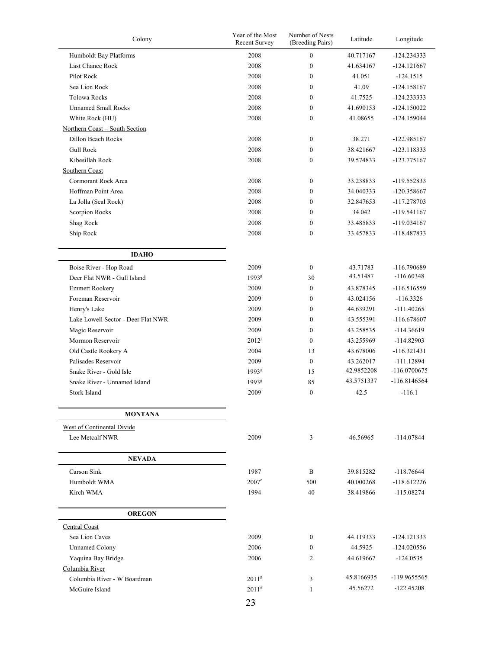| Colony                                              | Year of the Most<br>Recent Survey | Number of Nests<br>(Breeding Pairs) | Latitude   | Longitude      |
|-----------------------------------------------------|-----------------------------------|-------------------------------------|------------|----------------|
| Humboldt Bay Platforms                              | 2008                              | $\boldsymbol{0}$                    | 40.717167  | $-124.234333$  |
| Last Chance Rock                                    | 2008                              | $\boldsymbol{0}$                    | 41.634167  | $-124.121667$  |
| Pilot Rock                                          | 2008                              | $\boldsymbol{0}$                    | 41.051     | $-124.1515$    |
| Sea Lion Rock                                       | 2008                              | $\boldsymbol{0}$                    | 41.09      | $-124.158167$  |
| <b>Tolowa Rocks</b>                                 | 2008                              | $\boldsymbol{0}$                    | 41.7525    | $-124.233333$  |
| <b>Unnamed Small Rocks</b>                          | 2008                              | $\mathbf{0}$                        | 41.690153  | $-124.150022$  |
| White Rock (HU)                                     | 2008                              | $\boldsymbol{0}$                    | 41.08655   | $-124.159044$  |
| Northern Coast - South Section                      |                                   |                                     |            |                |
| <b>Dillon Beach Rocks</b>                           | 2008                              | $\boldsymbol{0}$                    | 38.271     | $-122.985167$  |
| <b>Gull Rock</b>                                    | 2008                              | $\boldsymbol{0}$                    | 38.421667  | $-123.118333$  |
| Kibesillah Rock                                     | 2008                              | $\boldsymbol{0}$                    | 39.574833  | $-123.775167$  |
| Southern Coast                                      |                                   |                                     |            |                |
| Cormorant Rock Area                                 | 2008                              | $\boldsymbol{0}$                    | 33.238833  | -119.552833    |
| Hoffman Point Area                                  | 2008                              | $\boldsymbol{0}$                    | 34.040333  | $-120.358667$  |
| La Jolla (Seal Rock)                                | 2008                              | $\boldsymbol{0}$                    | 32.847653  | -117.278703    |
| Scorpion Rocks                                      | 2008                              | $\boldsymbol{0}$                    | 34.042     | $-119.541167$  |
| Shag Rock                                           | 2008                              | $\boldsymbol{0}$                    | 33.485833  | $-119.034167$  |
| Ship Rock                                           | 2008                              | $\boldsymbol{0}$                    | 33.457833  | -118.487833    |
|                                                     |                                   |                                     |            |                |
| <b>IDAHO</b>                                        |                                   |                                     |            |                |
| Boise River - Hop Road                              | 2009                              | $\boldsymbol{0}$                    | 43.71783   | -116.790689    |
| Deer Flat NWR - Gull Island                         | 1993 <sup>g</sup>                 | 30                                  | 43.51487   | $-116.60348$   |
| <b>Emmett Rookery</b>                               | 2009                              | $\boldsymbol{0}$                    | 43.878345  | $-116.516559$  |
| Foreman Reservoir                                   | 2009                              | $\boldsymbol{0}$                    | 43.024156  | $-116.3326$    |
| Henry's Lake                                        | 2009                              | $\boldsymbol{0}$                    | 44.639291  | $-111.40265$   |
| Lake Lowell Sector - Deer Flat NWR                  | 2009                              | $\boldsymbol{0}$                    | 43.555391  | $-116.678607$  |
| Magic Reservoir                                     | 2009                              | $\boldsymbol{0}$                    | 43.258535  | $-114.36619$   |
| Mormon Reservoir                                    | $2012^{j}$                        | $\boldsymbol{0}$                    | 43.255969  | $-114.82903$   |
| Old Castle Rookery A                                | 2004                              | 13                                  | 43.678006  | $-116.321431$  |
| Palisades Reservoir                                 | 2009                              | $\boldsymbol{0}$                    | 43.262017  | $-111.12894$   |
| Snake River - Gold Isle                             | 1993 <sup>g</sup>                 | 15                                  | 42.9852208 | $-116.0700675$ |
| Snake River - Unnamed Island                        | 1993 <sup>g</sup>                 | 85                                  | 43.5751337 | $-116.8146564$ |
| Stork Island                                        | 2009                              | $\boldsymbol{0}$                    | 42.5       | $-116.1$       |
|                                                     |                                   |                                     |            |                |
| <b>MONTANA</b><br><b>West of Continental Divide</b> |                                   |                                     |            |                |
| Lee Metcalf NWR                                     | 2009                              | 3                                   | 46.56965   | $-114.07844$   |
| <b>NEVADA</b>                                       |                                   |                                     |            |                |
| Carson Sink                                         | 1987                              | B                                   | 39.815282  | $-118.76644$   |
| Humboldt WMA                                        | $2007^{\circ}$                    | 500                                 | 40.000268  | $-118.612226$  |
| Kirch WMA                                           | 1994                              | 40                                  | 38.419866  | $-115.08274$   |
| <b>OREGON</b>                                       |                                   |                                     |            |                |
| Central Coast                                       |                                   |                                     |            |                |
| Sea Lion Caves                                      | 2009                              | 0                                   | 44.119333  | $-124.121333$  |
| <b>Unnamed Colony</b>                               | 2006                              | 0                                   | 44.5925    | $-124.020556$  |
| Yaquina Bay Bridge                                  | 2006                              | 2                                   | 44.619667  | $-124.0535$    |
| Columbia River                                      |                                   |                                     |            |                |
| Columbia River - W Boardman                         | 2011 <sup>g</sup>                 | 3                                   | 45.8166935 | -119.9655565   |
| McGuire Island                                      | 2011 <sup>g</sup>                 | 1                                   | 45.56272   | $-122.45208$   |
|                                                     |                                   |                                     |            |                |

23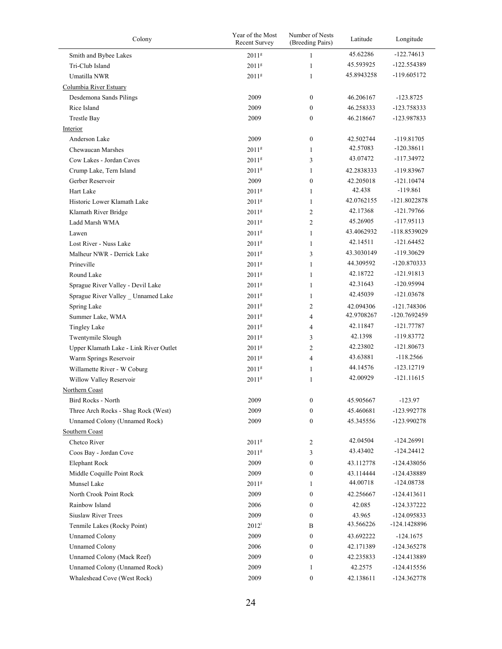| Colony                                 | Year of the Most<br><b>Recent Survey</b> | Number of Nests<br>(Breeding Pairs) | Latitude   | Longitude      |
|----------------------------------------|------------------------------------------|-------------------------------------|------------|----------------|
| Smith and Bybee Lakes                  | 2011 <sup>g</sup>                        | $\mathbf{1}$                        | 45.62286   | $-122.74613$   |
| Tri-Club Island                        | 2011 <sup>g</sup>                        | 1                                   | 45.593925  | -122.554389    |
| Umatilla NWR                           | 2011 <sup>g</sup>                        | $\mathbf{1}$                        | 45.8943258 | $-119.605172$  |
| Columbia River Estuary                 |                                          |                                     |            |                |
| Desdemona Sands Pilings                | 2009                                     | $\boldsymbol{0}$                    | 46.206167  | -123.8725      |
| Rice Island                            | 2009                                     | $\overline{0}$                      | 46.258333  | -123.758333    |
| <b>Trestle Bay</b>                     | 2009                                     | $\mathbf{0}$                        | 46.218667  | -123.987833    |
| Interior                               |                                          |                                     |            |                |
| Anderson Lake                          | 2009                                     | $\boldsymbol{0}$                    | 42.502744  | -119.81705     |
| Chewaucan Marshes                      | 2011 <sup>g</sup>                        | $\mathbf{1}$                        | 42.57083   | $-120.38611$   |
| Cow Lakes - Jordan Caves               | 2011 <sup>g</sup>                        | 3                                   | 43.07472   | -117.34972     |
| Crump Lake, Tern Island                | 2011 <sup>g</sup>                        | $\mathbf{1}$                        | 42.2838333 | -119.83967     |
| Gerber Reservoir                       | 2009                                     | $\boldsymbol{0}$                    | 42.205018  | $-121.10474$   |
| Hart Lake                              | 2011 <sup>g</sup>                        | $\mathbf{1}$                        | 42.438     | -119.861       |
| Historic Lower Klamath Lake            | 2011 <sup>g</sup>                        | $\mathbf{1}$                        | 42.0762155 | $-121.8022878$ |
| Klamath River Bridge                   | 2011 <sup>g</sup>                        | 2                                   | 42.17368   | $-121.79766$   |
| Ladd Marsh WMA                         | 2011 <sup>g</sup>                        | $\overline{c}$                      | 45.26905   | $-117.95113$   |
| Lawen                                  | 2011 <sup>g</sup>                        | $\mathbf{1}$                        | 43.4062932 | -118.8539029   |
| Lost River - Nuss Lake                 | 2011 <sup>g</sup>                        | $\mathbf{1}$                        | 42.14511   | $-121.64452$   |
| Malheur NWR - Derrick Lake             | 2011 <sup>g</sup>                        | 3                                   | 43.3030149 | $-119.30629$   |
| Prineville                             | 2011 <sup>g</sup>                        | $\mathbf{1}$                        | 44.309592  | $-120.870333$  |
| Round Lake                             | 2011 <sup>g</sup>                        | $\mathbf{1}$                        | 42.18722   | $-121.91813$   |
| Sprague River Valley - Devil Lake      | 2011 <sup>g</sup>                        | 1                                   | 42.31643   | -120.95994     |
| Sprague River Valley _ Unnamed Lake    | 2011 <sup>g</sup>                        | 1                                   | 42.45039   | $-121.03678$   |
| Spring Lake                            | 2011 <sup>g</sup>                        | 2                                   | 42.094306  | $-121.748306$  |
| Summer Lake, WMA                       | 2011 <sup>g</sup>                        | $\overline{4}$                      | 42.9708267 | -120.7692459   |
| <b>Tingley Lake</b>                    | 2011 <sup>g</sup>                        | 4                                   | 42.11847   | $-121.77787$   |
| Twentymile Slough                      | 2011 <sup>g</sup>                        | 3                                   | 42.1398    | -119.83772     |
| Upper Klamath Lake - Link River Outlet | 2011 <sup>g</sup>                        | $\overline{c}$                      | 42.23802   | $-121.80673$   |
| Warm Springs Reservoir                 | 2011 <sup>g</sup>                        | 4                                   | 43.63881   | $-118.2566$    |
| Willamette River - W Coburg            | 2011 <sup>g</sup>                        | 1                                   | 44.14576   | $-123.12719$   |
| Willow Valley Reservoir                | 2011 <sup>g</sup>                        | 1                                   | 42.00929   | $-121.11615$   |
| Northern Coast                         |                                          |                                     |            |                |
| Bird Rocks - North                     | 2009                                     | 0                                   | 45.905667  | $-123.97$      |
| Three Arch Rocks - Shag Rock (West)    | 2009                                     | $\boldsymbol{0}$                    | 45.460681  | -123.992778    |
| Unnamed Colony (Unnamed Rock)          | 2009                                     | $\boldsymbol{0}$                    | 45.345556  | -123.990278    |
| Southern Coast                         |                                          |                                     |            |                |
| Chetco River                           | 2011 <sup>g</sup>                        | 2                                   | 42.04504   | $-124.26991$   |
| Coos Bay - Jordan Cove                 | 2011 <sup>g</sup>                        | 3                                   | 43.43402   | $-124.24412$   |
| <b>Elephant Rock</b>                   | 2009                                     | $\boldsymbol{0}$                    | 43.112778  | $-124.438056$  |
| Middle Coquille Point Rock             | 2009                                     | $\boldsymbol{0}$                    | 43.114444  | -124.438889    |
| Munsel Lake                            | 2011 <sup>g</sup>                        | 1                                   | 44.00718   | $-124.08738$   |
| North Crook Point Rock                 | 2009                                     | $\boldsymbol{0}$                    | 42.256667  | $-124.413611$  |
| Rainbow Island                         | 2006                                     | $\boldsymbol{0}$                    | 42.085     | -124.337222    |
| Siuslaw River Trees                    | 2009                                     | 0                                   | 43.965     | $-124.095833$  |
| Tenmile Lakes (Rocky Point)            | $2012^i$                                 | B                                   | 43.566226  | -124.1428896   |
| <b>Unnamed Colony</b>                  | 2009                                     | $\boldsymbol{0}$                    | 43.692222  | $-124.1675$    |
| <b>Unnamed Colony</b>                  | 2006                                     | 0                                   | 42.171389  | $-124.365278$  |
| Unnamed Colony (Mack Reef)             | 2009                                     | $\boldsymbol{0}$                    | 42.235833  | -124.413889    |
| Unnamed Colony (Unnamed Rock)          | 2009                                     | 1                                   | 42.2575    | $-124.415556$  |
| Whaleshead Cove (West Rock)            | 2009                                     | $\boldsymbol{0}$                    | 42.138611  | -124.362778    |
|                                        |                                          |                                     |            |                |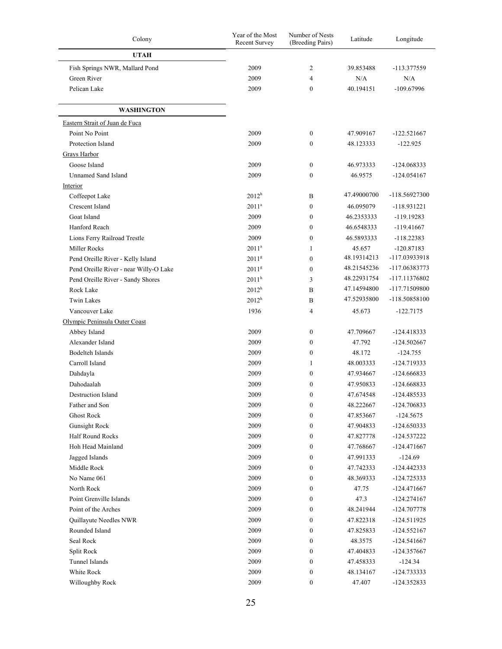| Colony                                 | Year of the Most<br><b>Recent Survey</b> | Number of Nests<br>(Breeding Pairs) | Latitude    | Longitude     |  |
|----------------------------------------|------------------------------------------|-------------------------------------|-------------|---------------|--|
| <b>UTAH</b>                            |                                          |                                     |             |               |  |
| Fish Springs NWR, Mallard Pond         | 2009                                     | 2                                   | 39.853488   | -113.377559   |  |
| Green River                            | 2009                                     | $\overline{4}$                      | N/A         | N/A           |  |
| Pelican Lake                           | 2009                                     | $\mathbf{0}$                        | 40.194151   | -109.67996    |  |
|                                        |                                          |                                     |             |               |  |
| <b>WASHINGTON</b>                      |                                          |                                     |             |               |  |
| Eastern Strait of Juan de Fuca         |                                          |                                     |             |               |  |
| Point No Point                         | 2009                                     | $\boldsymbol{0}$                    | 47.909167   | $-122.521667$ |  |
| Protection Island                      | 2009                                     | $\mathbf{0}$                        | 48.123333   | $-122.925$    |  |
| Grays Harbor                           |                                          |                                     |             |               |  |
| Goose Island                           | 2009                                     | $\boldsymbol{0}$                    | 46.973333   | $-124.068333$ |  |
| <b>Unnamed Sand Island</b>             | 2009                                     | $\mathbf{0}$                        | 46.9575     | $-124.054167$ |  |
| Interior                               |                                          |                                     |             |               |  |
| Coffeepot Lake                         | $2012^h$                                 | B                                   | 47.49000700 | -118.56927300 |  |
| Crescent Island                        | $2011^a$                                 | $\mathbf{0}$                        | 46.095079   | $-118.931221$ |  |
| Goat Island                            | 2009                                     | $\mathbf{0}$                        | 46.2353333  | $-119.19283$  |  |
| Hanford Reach                          | 2009                                     | $\mathbf{0}$                        | 46.6548333  | $-119.41667$  |  |
| Lions Ferry Railroad Trestle           | 2009                                     | $\mathbf{0}$                        | 46.5893333  | $-118.22383$  |  |
| Miller Rocks                           | 2011 <sup>a</sup>                        | 1                                   | 45.657      | $-120.87183$  |  |
| Pend Oreille River - Kelly Island      | 2011 <sup>g</sup>                        | $\mathbf{0}$                        | 48.19314213 | -117.03933918 |  |
| Pend Oreille River - near Willy-O Lake | 2011 <sup>g</sup>                        | $\mathbf{0}$                        | 48.21545236 | -117.06383773 |  |
| Pend Oreille River - Sandy Shores      | $2011^h$                                 | 3                                   | 48.22931754 | -117.11376802 |  |
| Rock Lake                              | $2012^h$                                 | B                                   | 47.14594800 | -117.71509800 |  |
| <b>Twin Lakes</b>                      | $2012^h$                                 | B                                   | 47.52935800 | -118.50858100 |  |
| Vancouver Lake                         | 1936                                     | $\overline{4}$                      | 45.673      | $-122.7175$   |  |
| Olympic Peninsula Outer Coast          |                                          |                                     |             |               |  |
| Abbey Island                           | 2009                                     | $\boldsymbol{0}$                    | 47.709667   | -124.418333   |  |
| Alexander Island                       | 2009                                     | $\mathbf{0}$                        | 47.792      | $-124.502667$ |  |
| <b>Bodelteh Islands</b>                | 2009                                     | $\mathbf{0}$                        | 48.172      | $-124.755$    |  |
| Carroll Island                         | 2009                                     | 1                                   | 48.003333   | -124.719333   |  |
| Dahdayla                               | 2009                                     | $\mathbf{0}$                        | 47.934667   | -124.666833   |  |
| Dahodaalah                             | 2009                                     | $\mathbf{0}$                        | 47.950833   | $-124.668833$ |  |
| <b>Destruction Island</b>              | 2009                                     | $\mathbf{0}$                        | 47.674548   | -124.485533   |  |
| Father and Son                         | 2009                                     | $\boldsymbol{0}$                    | 48.222667   | -124.706833   |  |
| <b>Ghost Rock</b>                      | 2009                                     | $\boldsymbol{0}$                    | 47.853667   | $-124.5675$   |  |
| <b>Gunsight Rock</b>                   | 2009                                     | $\boldsymbol{0}$                    | 47.904833   | -124.650333   |  |
| Half Round Rocks                       | 2009                                     | $\boldsymbol{0}$                    | 47.827778   | -124.537222   |  |
| Hoh Head Mainland                      | 2009                                     | $\boldsymbol{0}$                    | 47.768667   | -124.471667   |  |
| Jagged Islands                         | 2009                                     | $\boldsymbol{0}$                    | 47.991333   | $-124.69$     |  |
| Middle Rock                            | 2009                                     | $\boldsymbol{0}$                    | 47.742333   | -124.442333   |  |
| No Name 061                            | 2009                                     | $\boldsymbol{0}$                    | 48.369333   | $-124.725333$ |  |
| North Rock                             | 2009                                     | $\boldsymbol{0}$                    | 47.75       | $-124.471667$ |  |
| Point Grenville Islands                | 2009                                     | $\boldsymbol{0}$                    | 47.3        | -124.274167   |  |
| Point of the Arches                    | 2009                                     | $\boldsymbol{0}$                    | 48.241944   | -124.707778   |  |
| Quillayute Needles NWR                 | 2009                                     | $\boldsymbol{0}$                    | 47.822318   | $-124.511925$ |  |
| Rounded Island                         | 2009                                     | $\boldsymbol{0}$                    | 47.825833   | $-124.552167$ |  |
| Seal Rock                              | 2009                                     | $\boldsymbol{0}$                    | 48.3575     | -124.541667   |  |
| Split Rock                             | 2009                                     | $\boldsymbol{0}$                    | 47.404833   | -124.357667   |  |
| Tunnel Islands                         | 2009                                     | $\boldsymbol{0}$                    | 47.458333   | $-124.34$     |  |
| White Rock                             | 2009                                     | $\boldsymbol{0}$                    | 48.134167   | -124.733333   |  |
| Willoughby Rock                        | 2009                                     | $\boldsymbol{0}$                    | 47.407      | -124.352833   |  |
|                                        |                                          |                                     |             |               |  |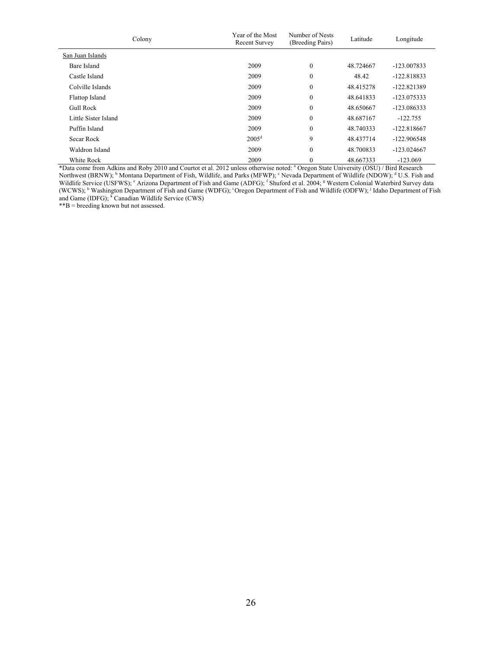| Colony               | Year of the Most<br><b>Recent Survey</b> | Number of Nests<br>(Breeding Pairs) | Latitude  | Longitude     |  |
|----------------------|------------------------------------------|-------------------------------------|-----------|---------------|--|
| San Juan Islands     |                                          |                                     |           |               |  |
| Bare Island          | 2009                                     | $\boldsymbol{0}$                    | 48.724667 | $-123.007833$ |  |
| Castle Island        | 2009                                     | $\boldsymbol{0}$                    | 48.42     | $-122.818833$ |  |
| Colville Islands     | 2009                                     | $\boldsymbol{0}$                    | 48.415278 | $-122.821389$ |  |
| Flattop Island       | 2009                                     | $\boldsymbol{0}$                    | 48.641833 | $-123.075333$ |  |
| <b>Gull Rock</b>     | 2009                                     | $\boldsymbol{0}$                    | 48.650667 | $-123.086333$ |  |
| Little Sister Island | 2009                                     | $\boldsymbol{0}$                    | 48.687167 | $-122.755$    |  |
| Puffin Island        | 2009                                     | $\boldsymbol{0}$                    | 48.740333 | $-122.818667$ |  |
| Secar Rock           | $2005^{\rm d}$                           | 9                                   | 48.437714 | $-122.906548$ |  |
| Waldron Island       | 2009                                     | $\boldsymbol{0}$                    | 48.700833 | $-123.024667$ |  |
| White Rock           | 2009                                     | $\boldsymbol{0}$                    | 48.667333 | $-123.069$    |  |

\*Data come from Adkins and Roby 2010 and Courtot et al. 2012 unless otherwise noted: a Oregon State University (OSU) / Bird Research Northwest (BRNW); <sup>b</sup> Montana Department of Fish, Wildlife, and Parks (MFWP); <sup>c</sup> Nevada Department of Wildlife (NDOW); <sup>d</sup> U.S. Fish and Wildlife Service (USFWS); <sup>e</sup> Arizona Department of Fish and Game (ADFG); <sup>f</sup> Shuford et al. 2004; <sup>g</sup> Western Colonial Waterbird Survey data (WCWS); <sup>h</sup> Washington Department of Fish and Game (WDFG); <sup>i</sup> Oregon Department of Fish and Wildlife (ODFW); <sup>j</sup> Idaho Department of Fish and Game (IDFG);  $\sqrt{k}$  Canadian Wildlife Service (CWS)

\*\*B = breeding known but not assessed.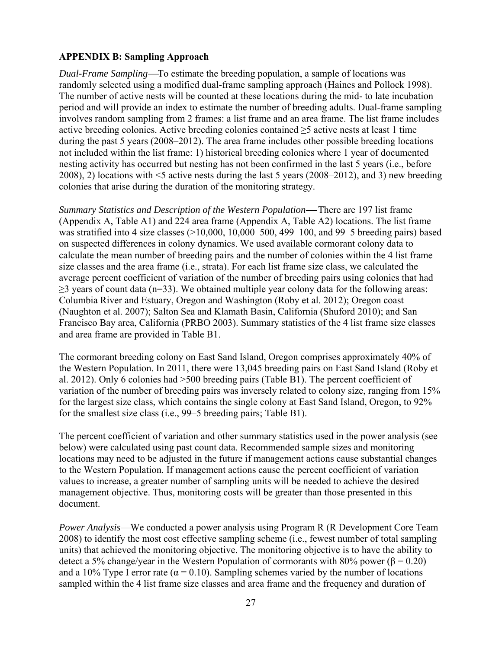## **APPENDIX B: Sampling Approach**

*Dual-Frame Sampling*—To estimate the breeding population, a sample of locations was randomly selected using a modified dual-frame sampling approach (Haines and Pollock 1998). The number of active nests will be counted at these locations during the mid- to late incubation period and will provide an index to estimate the number of breeding adults. Dual-frame sampling involves random sampling from 2 frames: a list frame and an area frame. The list frame includes active breeding colonies. Active breeding colonies contained ≥5 active nests at least 1 time during the past 5 years (2008–2012). The area frame includes other possible breeding locations not included within the list frame: 1) historical breeding colonies where 1 year of documented nesting activity has occurred but nesting has not been confirmed in the last 5 years (i.e., before 2008), 2) locations with <5 active nests during the last 5 years (2008–2012), and 3) new breeding colonies that arise during the duration of the monitoring strategy.

*Summary Statistics and Description of the Western Population*— There are 197 list frame (Appendix A, Table A1) and 224 area frame (Appendix A, Table A2) locations. The list frame was stratified into 4 size classes (>10,000, 10,000–500, 499–100, and 99–5 breeding pairs) based on suspected differences in colony dynamics. We used available cormorant colony data to calculate the mean number of breeding pairs and the number of colonies within the 4 list frame size classes and the area frame (i.e., strata). For each list frame size class, we calculated the average percent coefficient of variation of the number of breeding pairs using colonies that had ≥3 years of count data (n=33). We obtained multiple year colony data for the following areas: Columbia River and Estuary, Oregon and Washington (Roby et al. 2012); Oregon coast (Naughton et al. 2007); Salton Sea and Klamath Basin, California (Shuford 2010); and San Francisco Bay area, California (PRBO 2003). Summary statistics of the 4 list frame size classes and area frame are provided in Table B1.

The cormorant breeding colony on East Sand Island, Oregon comprises approximately 40% of the Western Population. In 2011, there were 13,045 breeding pairs on East Sand Island (Roby et al. 2012). Only 6 colonies had >500 breeding pairs (Table B1). The percent coefficient of variation of the number of breeding pairs was inversely related to colony size, ranging from 15% for the largest size class, which contains the single colony at East Sand Island, Oregon, to 92% for the smallest size class (i.e., 99–5 breeding pairs; Table B1).

The percent coefficient of variation and other summary statistics used in the power analysis (see below) were calculated using past count data. Recommended sample sizes and monitoring locations may need to be adjusted in the future if management actions cause substantial changes to the Western Population. If management actions cause the percent coefficient of variation values to increase, a greater number of sampling units will be needed to achieve the desired management objective. Thus, monitoring costs will be greater than those presented in this document.

*Power Analysis*—We conducted a power analysis using Program R (R Development Core Team 2008) to identify the most cost effective sampling scheme (i.e., fewest number of total sampling units) that achieved the monitoring objective. The monitoring objective is to have the ability to detect a 5% change/year in the Western Population of cormorants with 80% power (β = 0.20) and a 10% Type I error rate ( $\alpha$  = 0.10). Sampling schemes varied by the number of locations sampled within the 4 list frame size classes and area frame and the frequency and duration of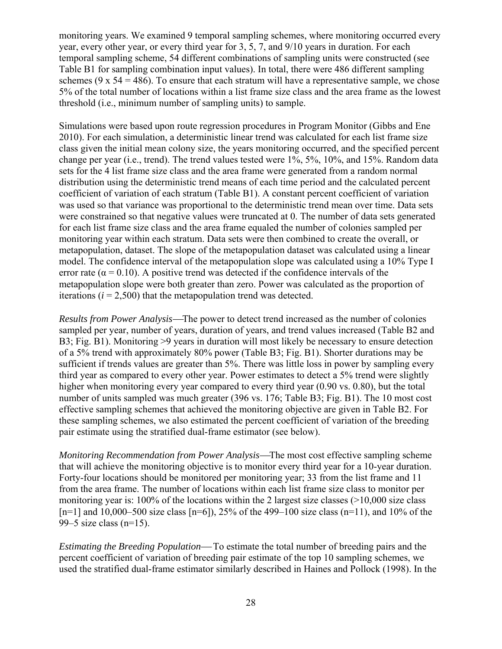monitoring years. We examined 9 temporal sampling schemes, where monitoring occurred every year, every other year, or every third year for 3, 5, 7, and 9/10 years in duration. For each temporal sampling scheme, 54 different combinations of sampling units were constructed (see Table B1 for sampling combination input values). In total, there were 486 different sampling schemes (9 x  $54 = 486$ ). To ensure that each stratum will have a representative sample, we chose 5% of the total number of locations within a list frame size class and the area frame as the lowest threshold (i.e., minimum number of sampling units) to sample.

Simulations were based upon route regression procedures in Program Monitor (Gibbs and Ene 2010). For each simulation, a deterministic linear trend was calculated for each list frame size class given the initial mean colony size, the years monitoring occurred, and the specified percent change per year (i.e., trend). The trend values tested were 1%, 5%, 10%, and 15%. Random data sets for the 4 list frame size class and the area frame were generated from a random normal distribution using the deterministic trend means of each time period and the calculated percent coefficient of variation of each stratum (Table B1). A constant percent coefficient of variation was used so that variance was proportional to the deterministic trend mean over time. Data sets were constrained so that negative values were truncated at 0. The number of data sets generated for each list frame size class and the area frame equaled the number of colonies sampled per monitoring year within each stratum. Data sets were then combined to create the overall, or metapopulation, dataset. The slope of the metapopulation dataset was calculated using a linear model. The confidence interval of the metapopulation slope was calculated using a 10% Type I error rate ( $\alpha$  = 0.10). A positive trend was detected if the confidence intervals of the metapopulation slope were both greater than zero. Power was calculated as the proportion of iterations  $(i = 2,500)$  that the metapopulation trend was detected.

*Results from Power Analysis*—The power to detect trend increased as the number of colonies sampled per year, number of years, duration of years, and trend values increased (Table B2 and B3; Fig. B1). Monitoring >9 years in duration will most likely be necessary to ensure detection of a 5% trend with approximately 80% power (Table B3; Fig. B1). Shorter durations may be sufficient if trends values are greater than 5%. There was little loss in power by sampling every third year as compared to every other year. Power estimates to detect a 5% trend were slightly higher when monitoring every year compared to every third year  $(0.90 \text{ vs. } 0.80)$ , but the total number of units sampled was much greater (396 vs. 176; Table B3; Fig. B1). The 10 most cost effective sampling schemes that achieved the monitoring objective are given in Table B2. For these sampling schemes, we also estimated the percent coefficient of variation of the breeding pair estimate using the stratified dual-frame estimator (see below).

*Monitoring Recommendation from Power Analysis*—The most cost effective sampling scheme that will achieve the monitoring objective is to monitor every third year for a 10-year duration. Forty-four locations should be monitored per monitoring year; 33 from the list frame and 11 from the area frame. The number of locations within each list frame size class to monitor per monitoring year is: 100% of the locations within the 2 largest size classes (>10,000 size class  $[n=1]$  and 10,000–500 size class  $[n=6]$ , 25% of the 499–100 size class  $(n=11)$ , and 10% of the 99–5 size class (n=15).

*Estimating the Breeding Population*—To estimate the total number of breeding pairs and the percent coefficient of variation of breeding pair estimate of the top 10 sampling schemes, we used the stratified dual-frame estimator similarly described in Haines and Pollock (1998). In the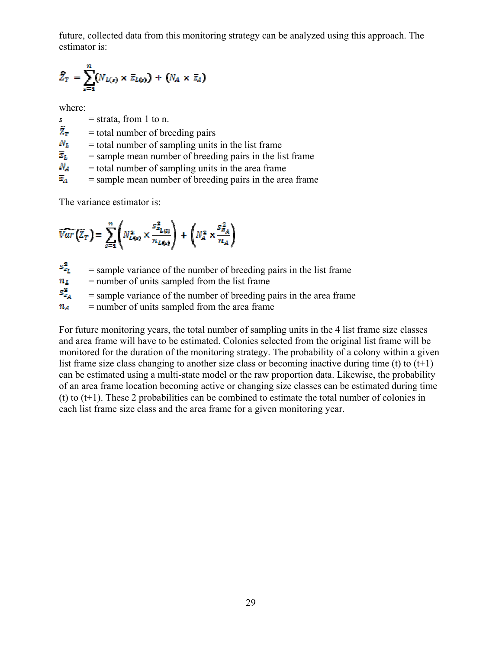future, collected data from this monitoring strategy can be analyzed using this approach. The estimator is:

$$
\widehat{Z}_T = \sum_{s=1}^m (N_{L(s)} \times \overline{z}_{L(s)}) + (N_A \times \overline{z}_A)
$$

where:

- $s =$ strata, from 1 to n.
- $\hat{Z}_{\tau}$  = total number of breeding pairs<br>  $N_L$  = total number of sampling units
- = total number of sampling units in the list frame
- $\overline{z}_L$  = sample mean number of breeding pairs in the list frame
- $N_A$ = total number of sampling units in the area frame
- $\overline{z}_A$  = sample mean number of breeding pairs in the area frame

The variance estimator is:

$$
\widehat{Var}\left(\widehat{Z}_T\right) = \sum_{s=1}^n \left(N_{L(s)}^2 \times \frac{s_{B_{L(s)}}^2}{n_{L(s)}}\right) + \left(N_A^2 \times \frac{s_{B_A}^2}{n_A}\right)
$$

 $s_{z_L}^2$  = sample variance of the number of breeding pairs in the list frame<br>  $n_L$  = number of units sampled from the list frame

 $n_L$  = number of units sampled from the list frame<br> $S_{z_A}^2$  = sample variance of the number of breeding p

= sample variance of the number of breeding pairs in the area frame

 $n_A$  = number of units sampled from the area frame

For future monitoring years, the total number of sampling units in the 4 list frame size classes and area frame will have to be estimated. Colonies selected from the original list frame will be monitored for the duration of the monitoring strategy. The probability of a colony within a given list frame size class changing to another size class or becoming inactive during time (t) to  $(t+1)$ can be estimated using a multi-state model or the raw proportion data. Likewise, the probability of an area frame location becoming active or changing size classes can be estimated during time (t) to  $(t+1)$ . These 2 probabilities can be combined to estimate the total number of colonies in each list frame size class and the area frame for a given monitoring year.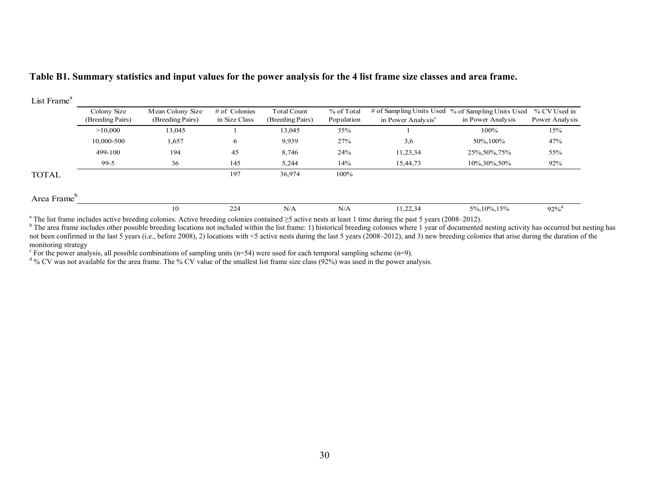#### **Table B1. Summary statistics and input values for the power analysis for the 4 list frame size classes and area frame.**

| List Frame <sup>a</sup> |                                 |                                      |                                  |                                        |                          |                                                            |                                               |                                |
|-------------------------|---------------------------------|--------------------------------------|----------------------------------|----------------------------------------|--------------------------|------------------------------------------------------------|-----------------------------------------------|--------------------------------|
|                         | Colony Size<br>(Breeding Pairs) | Mean Colony Size<br>(Breeding Pairs) | $#$ of Colonies<br>in Size Class | <b>Total Count</b><br>(Breeding Pairs) | % of Total<br>Population | # of Sampling Units Used<br>in Power Analysis <sup>c</sup> | % of Sampling Units Used<br>in Power Analysis | % CV Used in<br>Power Analysis |
|                         | >10,000                         | 13,045                               |                                  | 13,045                                 | 35%                      |                                                            | 100%                                          | 15%                            |
|                         | 10,000-500                      | 1,657                                | 6                                | 9,939                                  | 27%                      | 3,6                                                        | 50\%,100\%                                    | 47%                            |
|                         | 499-100                         | 194                                  | 45                               | 8,746                                  | 24%                      | 11,23,34                                                   | 25%, 50%, 75%                                 | 55%                            |
|                         | $99-5$                          | 36                                   | 145                              | 5,244                                  | 14%                      | 15,44,73                                                   | 10\%,30\%,50\%                                | 92%                            |
| <b>TOTAL</b>            |                                 |                                      | 197                              | 36,974                                 | 100%                     |                                                            |                                               |                                |
| Area Frame              |                                 |                                      |                                  |                                        |                          |                                                            |                                               |                                |
|                         |                                 | 10                                   | 224                              | N/A                                    | N/A                      | 11,22,34                                                   | 5%, 10%, 15%                                  | $92\%^{\rm d}$                 |

a The list frame includes active breeding colonies. Active breeding colonies contained ≥5 active nests at least 1 time during the past 5 years (2008–2012).

<sup>b</sup> The area frame includes other possible breeding locations not included within the list frame: 1) historical breeding colonies where 1 year of documented nesting activity has occurred but nesting has not been confirmed in the last 5 years (i.e., before 2008), 2) locations with <5 active nests during the last 5 years (2008–2012), and 3) new breeding colonies that arise during the duration of the monitoring strategy

<sup>c</sup> For the power analysis, all possible combinations of sampling units (n=54) were used for each temporal sampling scheme (n=9).

 $^{\text{d}}$  % CV was not available for the area frame. The % CV value of the smallest list frame size class (92%) was used in the power analysis.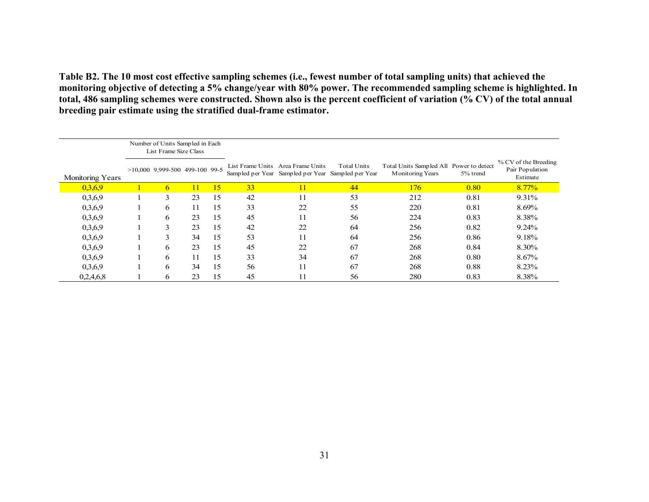**Table B2. The 10 most cost effective sampling schemes (i.e., fewest number of total sampling units) that achieved the monitoring objective of detecting a 5% change/year with 80% power. The recommended sampling scheme is highlighted. In total, 486 sampling schemes were constructed. Shown also is the percent coefficient of variation (% CV) of the total annual breeding pair estimate using the stratified dual-frame estimator.** 

|                  | Number of Units Sampled in Each<br>List Frame Size Class |    |    |    |                                                                                         |             |                                                                    |          |                                                     |
|------------------|----------------------------------------------------------|----|----|----|-----------------------------------------------------------------------------------------|-------------|--------------------------------------------------------------------|----------|-----------------------------------------------------|
| Monitoring Years | $>10,000$ 9,999-500 499-100 99-5                         |    |    |    | List Frame Units Area Frame Units<br>Sampled per Year Sampled per Year Sampled per Year | Total Units | Total Units Sampled All Power to detect<br><b>Monitoring Years</b> | 5% trend | % CV of the Breeding<br>Pair Population<br>Estimate |
| 0,3,6,9          | 6                                                        | 11 | 15 | 33 | 11                                                                                      | 44          | 176                                                                | 0.80     | 8.77%                                               |
| 0,3,6,9          | 3                                                        | 23 | 15 | 42 | 11                                                                                      | 53          | 212                                                                | 0.81     | 9.31%                                               |
| 0,3,6,9          | 6                                                        | 11 | 15 | 33 | 22                                                                                      | 55          | 220                                                                | 0.81     | 8.69%                                               |
| 0,3,6,9          | 6                                                        | 23 | 15 | 45 | 11                                                                                      | 56          | 224                                                                | 0.83     | 8.38%                                               |
| 0,3,6,9          | 3                                                        | 23 | 15 | 42 | 22                                                                                      | 64          | 256                                                                | 0.82     | 9.24%                                               |
| 0,3,6,9          | 3                                                        | 34 | 15 | 53 | 11                                                                                      | 64          | 256                                                                | 0.86     | 9.18%                                               |
| 0,3,6,9          | 6                                                        | 23 | 15 | 45 | 22                                                                                      | 67          | 268                                                                | 0.84     | 8.30%                                               |
| 0,3,6,9          | 6                                                        | 11 | 15 | 33 | 34                                                                                      | 67          | 268                                                                | 0.80     | 8.67%                                               |
| 0,3,6,9          | 6                                                        | 34 | 15 | 56 | 11                                                                                      | 67          | 268                                                                | 0.88     | 8.23%                                               |
| 0,2,4,6,8        | 6                                                        | 23 | 15 | 45 | 11                                                                                      | 56          | 280                                                                | 0.83     | 8.38%                                               |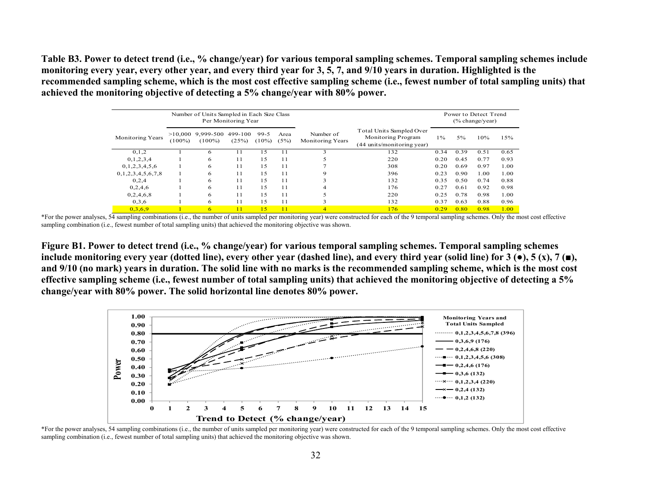**Table B3. Power to detect trend (i.e., % change/year) for various temporal sampling schemes. Temporal sampling schemes include monitoring every year, every other year, and every third year for 3, 5, 7, and 9/10 years in duration. Highlighted is the recommended sampling scheme, which is the most cost effective sampling scheme (i.e., fewest number of total sampling units) that achieved the monitoring objective of detecting a 5% change/year with 80% power.** 

|                         |           | Number of Units Sampled in Each Size Class | Per Monitoring Year |                    |              |                                      |                                                                              |       |       | Power to Detect Trend<br>$(\%$ change/year) |      |
|-------------------------|-----------|--------------------------------------------|---------------------|--------------------|--------------|--------------------------------------|------------------------------------------------------------------------------|-------|-------|---------------------------------------------|------|
| <b>Monitoring Years</b> | $(100\%)$ | $>10,000$ 9,999-500<br>$(100\%)$           | 499-100<br>(25%)    | $99-5$<br>$(10\%)$ | Area<br>(5%) | Number of<br><b>Monitoring Years</b> | Total Units Sampled Over<br>Monitoring Program<br>(44 units/monitoring year) | $1\%$ | $5\%$ | 10%                                         | 15%  |
| 0,1,2                   |           | 6                                          |                     | 15                 | 11           | 3                                    | 132                                                                          | 0.34  | 0.39  | 0.51                                        | 0.65 |
| 0,1,2,3,4               |           | 6                                          | 11                  | 15                 | 11           | 5                                    | 220                                                                          | 0.20  | 0.45  | 0.77                                        | 0.93 |
| 0,1,2,3,4,5,6           |           | 6                                          | 11                  | 15                 | 11           |                                      | 308                                                                          | 0.20  | 0.69  | 0.97                                        | 1.00 |
| 0,1,2,3,4,5,6,7,8       |           | 6                                          | 11                  | 15                 | 11           | 9                                    | 396                                                                          | 0.23  | 0.90  | 1.00                                        | 1.00 |
| 0,2,4                   |           | 6                                          | 11                  | 15                 | 11           | 3                                    | 132                                                                          | 0.35  | 0.50  | 0.74                                        | 0.88 |
| 0,2,4,6                 |           | 6                                          | 11                  | 15                 | 11           | 4                                    | 176                                                                          | 0.27  | 0.61  | 0.92                                        | 0.98 |
| 0,2,4,6,8               |           | 6                                          | 11                  | 15                 | 11           |                                      | 220                                                                          | 0.25  | 0.78  | 0.98                                        | 1.00 |
| 0,3,6                   |           | 6                                          | 11                  | 15                 | 11           | 3                                    | 132                                                                          | 0.37  | 0.63  | 0.88                                        | 0.96 |
| 0,3,6,9                 |           | 6                                          | 11                  | 15                 | 11           | $\overline{4}$                       | 176                                                                          | 0.29  | 0.80  | 0.98                                        | 1.00 |

\*For the power analyses, 54 sampling combinations (i.e., the number of units sampled per monitoring year) were constructed for each of the 9 temporal sampling schemes. Only the most cost effective sampling combination (i.e., fewest number of total sampling units) that achieved the monitoring objective was shown.

**Figure B1. Power to detect trend (i.e., % change/year) for various temporal sampling schemes. Temporal sampling schemes**  include monitoring every year (dotted line), every other year (dashed line), and every third year (solid line) for  $3(\bullet)$ ,  $5(x)$ ,  $7(\bullet)$ , **and 9/10 (no mark) years in duration. The solid line with no marks is the recommended sampling scheme, which is the most cost effective sampling scheme (i.e., fewest number of total sampling units) that achieved the monitoring objective of detecting a 5% change/year with 80% power. The solid horizontal line denotes 80% power.** 



\*For the power analyses, 54 sampling combinations (i.e., the number of units sampled per monitoring year) were constructed for each of the 9 temporal sampling schemes. Only the most cost effective sampling combination (i.e., fewest number of total sampling units) that achieved the monitoring objective was shown.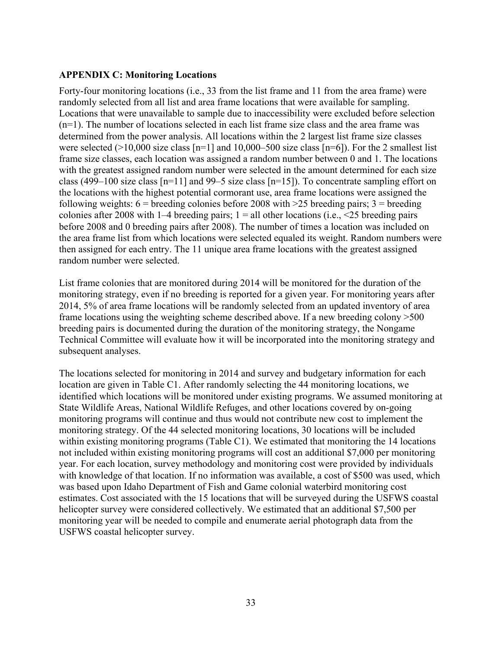## **APPENDIX C: Monitoring Locations**

Forty-four monitoring locations (i.e., 33 from the list frame and 11 from the area frame) were randomly selected from all list and area frame locations that were available for sampling. Locations that were unavailable to sample due to inaccessibility were excluded before selection (n=1). The number of locations selected in each list frame size class and the area frame was determined from the power analysis. All locations within the 2 largest list frame size classes were selected ( $>10,000$  size class [n=1] and 10,000–500 size class [n=6]). For the 2 smallest list frame size classes, each location was assigned a random number between 0 and 1. The locations with the greatest assigned random number were selected in the amount determined for each size class (499–100 size class [n=11] and 99–5 size class [n=15]). To concentrate sampling effort on the locations with the highest potential cormorant use, area frame locations were assigned the following weights:  $6 =$  breeding colonies before 2008 with  $>25$  breeding pairs;  $3 =$  breeding colonies after 2008 with 1–4 breeding pairs;  $1 =$  all other locations (i.e.,  $\leq$  25 breeding pairs before 2008 and 0 breeding pairs after 2008). The number of times a location was included on the area frame list from which locations were selected equaled its weight. Random numbers were then assigned for each entry. The 11 unique area frame locations with the greatest assigned random number were selected.

List frame colonies that are monitored during 2014 will be monitored for the duration of the monitoring strategy, even if no breeding is reported for a given year. For monitoring years after 2014, 5% of area frame locations will be randomly selected from an updated inventory of area frame locations using the weighting scheme described above. If a new breeding colony >500 breeding pairs is documented during the duration of the monitoring strategy, the Nongame Technical Committee will evaluate how it will be incorporated into the monitoring strategy and subsequent analyses.

The locations selected for monitoring in 2014 and survey and budgetary information for each location are given in Table C1. After randomly selecting the 44 monitoring locations, we identified which locations will be monitored under existing programs. We assumed monitoring at State Wildlife Areas, National Wildlife Refuges, and other locations covered by on-going monitoring programs will continue and thus would not contribute new cost to implement the monitoring strategy. Of the 44 selected monitoring locations, 30 locations will be included within existing monitoring programs (Table C1). We estimated that monitoring the 14 locations not included within existing monitoring programs will cost an additional \$7,000 per monitoring year. For each location, survey methodology and monitoring cost were provided by individuals with knowledge of that location. If no information was available, a cost of \$500 was used, which was based upon Idaho Department of Fish and Game colonial waterbird monitoring cost estimates. Cost associated with the 15 locations that will be surveyed during the USFWS coastal helicopter survey were considered collectively. We estimated that an additional \$7,500 per monitoring year will be needed to compile and enumerate aerial photograph data from the USFWS coastal helicopter survey.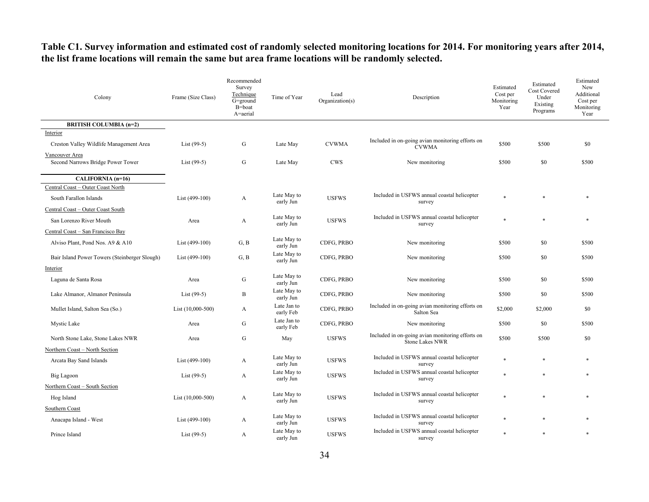## **Table C1. Survey information and estimated cost of randomly selected monitoring locations for 2014. For monitoring years after 2014, the list frame locations will remain the same but area frame locations will be randomly selected.**

| Colony                                              | Frame (Size Class)  | Recommended<br>Survey<br>Technique<br>$G=$ ground<br>B=boat<br>A=aerial | Time of Year             | Lead<br>Organization(s) | Description                                                                | Estimated<br>Cost per<br>Monitoring<br>Year | Estimated<br><b>Cost Covered</b><br>Under<br>Existing<br>Programs | Estimated<br>New<br>Additional<br>Cost per<br>Monitoring<br>Year |
|-----------------------------------------------------|---------------------|-------------------------------------------------------------------------|--------------------------|-------------------------|----------------------------------------------------------------------------|---------------------------------------------|-------------------------------------------------------------------|------------------------------------------------------------------|
| <b>BRITISH COLUMBIA (n=2)</b>                       |                     |                                                                         |                          |                         |                                                                            |                                             |                                                                   |                                                                  |
| Interior<br>Creston Valley Wildlife Management Area | List $(99-5)$       | G                                                                       | Late May                 | <b>CVWMA</b>            | Included in on-going avian monitoring efforts on<br><b>CVWMA</b>           | \$500                                       | \$500                                                             | \$0                                                              |
| Vancouver Area<br>Second Narrows Bridge Power Tower | List $(99-5)$       | G                                                                       | Late May                 | <b>CWS</b>              | New monitoring                                                             | \$500                                       | \$0                                                               | \$500                                                            |
| CALIFORNIA (n=16)                                   |                     |                                                                         |                          |                         |                                                                            |                                             |                                                                   |                                                                  |
| Central Coast - Outer Coast North                   |                     |                                                                         |                          |                         |                                                                            |                                             |                                                                   |                                                                  |
| South Farallon Islands                              | List (499-100)      | A                                                                       | Late May to<br>early Jun | <b>USFWS</b>            | Included in USFWS annual coastal helicopter<br>survey                      | $\ast$                                      |                                                                   |                                                                  |
| Central Coast - Outer Coast South                   |                     |                                                                         |                          |                         |                                                                            |                                             |                                                                   |                                                                  |
| San Lorenzo River Mouth                             | Area                | A                                                                       | Late May to<br>early Jun | <b>USFWS</b>            | Included in USFWS annual coastal helicopter<br>survey                      | $\ast$                                      |                                                                   |                                                                  |
| Central Coast - San Francisco Bay                   |                     |                                                                         |                          |                         |                                                                            |                                             |                                                                   |                                                                  |
| Alviso Plant, Pond Nos. A9 & A10                    | List (499-100)      | G, B                                                                    | Late May to<br>early Jun | CDFG, PRBO              | New monitoring                                                             | \$500                                       | \$0                                                               | \$500                                                            |
| Bair Island Power Towers (Steinberger Slough)       | List (499-100)      | G, B                                                                    | Late May to<br>early Jun | CDFG, PRBO              | New monitoring                                                             | \$500                                       | \$0                                                               | \$500                                                            |
| Interior                                            |                     |                                                                         |                          |                         |                                                                            |                                             |                                                                   |                                                                  |
| Laguna de Santa Rosa                                | Area                | G                                                                       | Late May to<br>early Jun | CDFG, PRBO              | New monitoring                                                             | \$500                                       | \$0                                                               | \$500                                                            |
| Lake Almanor, Almanor Peninsula                     | List $(99-5)$       | B                                                                       | Late May to<br>early Jun | CDFG, PRBO              | New monitoring                                                             | \$500                                       | \$0                                                               | \$500                                                            |
| Mullet Island, Salton Sea (So.)                     | List $(10,000-500)$ | A                                                                       | Late Jan to<br>early Feb | CDFG, PRBO              | Included in on-going avian monitoring efforts on<br>Salton Sea             | \$2,000                                     | \$2,000                                                           | \$0                                                              |
| Mystic Lake                                         | Area                | G                                                                       | Late Jan to<br>early Feb | CDFG, PRBO              | New monitoring                                                             | \$500                                       | \$0                                                               | \$500                                                            |
| North Stone Lake, Stone Lakes NWR                   | Area                | G                                                                       | May                      | <b>USFWS</b>            | Included in on-going avian monitoring efforts on<br><b>Stone Lakes NWR</b> | \$500                                       | \$500                                                             | \$0                                                              |
| Northern Coast - North Section                      |                     |                                                                         |                          |                         |                                                                            |                                             |                                                                   |                                                                  |
| Arcata Bay Sand Islands                             | List (499-100)      | A                                                                       | Late May to<br>early Jun | <b>USFWS</b>            | Included in USFWS annual coastal helicopter<br>survey                      | $\ast$                                      | $\ast$                                                            |                                                                  |
| Big Lagoon                                          | List $(99-5)$       | A                                                                       | Late May to<br>early Jun | <b>USFWS</b>            | Included in USFWS annual coastal helicopter<br>survey                      |                                             | $\ast$                                                            |                                                                  |
| Northern Coast - South Section                      |                     |                                                                         |                          |                         |                                                                            |                                             |                                                                   |                                                                  |
| Hog Island                                          | List (10,000-500)   | A                                                                       | Late May to<br>early Jun | <b>USFWS</b>            | Included in USFWS annual coastal helicopter<br>survey                      | $\ast$                                      | $\ast$                                                            |                                                                  |
| Southern Coast                                      |                     |                                                                         |                          |                         |                                                                            |                                             |                                                                   |                                                                  |
| Anacapa Island - West                               | List (499-100)      | A                                                                       | Late May to<br>early Jun | <b>USFWS</b>            | Included in USFWS annual coastal helicopter<br>survey                      |                                             |                                                                   |                                                                  |
| Prince Island                                       | $List(99-5)$        | A                                                                       | Late May to<br>early Jun | <b>USFWS</b>            | Included in USFWS annual coastal helicopter<br>survey                      |                                             |                                                                   |                                                                  |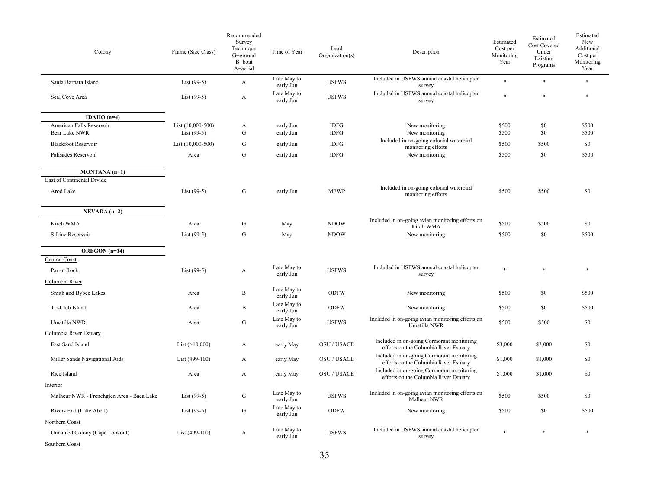| Colony                                      | Frame (Size Class)                 | Recommended<br>Survey<br>Technique<br>G=ground<br>B=boat<br>A=aerial | Time of Year             | Lead<br>Organization(s)    | Description                                                                        | Estimated<br>Cost per<br>Monitoring<br>Year | Estimated<br>Cost Covered<br>Under<br>Existing<br>Programs | Estimated<br>New<br>Additional<br>Cost per<br>Monitoring<br>Year |
|---------------------------------------------|------------------------------------|----------------------------------------------------------------------|--------------------------|----------------------------|------------------------------------------------------------------------------------|---------------------------------------------|------------------------------------------------------------|------------------------------------------------------------------|
| Santa Barbara Island                        | List $(99-5)$                      | A                                                                    | Late May to<br>early Jun | <b>USFWS</b>               | Included in USFWS annual coastal helicopter<br>survey                              | $\ast$                                      | *                                                          | $\ast$                                                           |
| Seal Cove Area                              | List $(99-5)$                      | A                                                                    | Late May to<br>early Jun | <b>USFWS</b>               | Included in USFWS annual coastal helicopter<br>survey                              | $\ast$                                      | *                                                          | $\ast$                                                           |
| IDAHO $(n=4)$                               |                                    |                                                                      |                          |                            |                                                                                    |                                             |                                                            |                                                                  |
| American Falls Reservoir<br>Bear Lake NWR   | List (10,000-500)<br>List $(99-5)$ | A<br>G                                                               | early Jun<br>early Jun   | <b>IDFG</b><br><b>IDFG</b> | New monitoring<br>New monitoring                                                   | \$500<br>\$500                              | \$0<br>\$0                                                 | \$500<br>\$500                                                   |
| <b>Blackfoot Reservoir</b>                  | List $(10,000-500)$                | G                                                                    | early Jun                | <b>IDFG</b>                | Included in on-going colonial waterbird<br>monitoring efforts                      | \$500                                       | \$500                                                      | \$0                                                              |
| Palisades Reservoir                         | Area                               | $\mathbf G$                                                          | early Jun                | <b>IDFG</b>                | New monitoring                                                                     | \$500                                       | \$0                                                        | \$500                                                            |
| MONTANA (n=1)<br>East of Continental Divide |                                    |                                                                      |                          |                            |                                                                                    |                                             |                                                            |                                                                  |
| Arod Lake                                   | List $(99-5)$                      | $\mathbf G$                                                          | early Jun                | <b>MFWP</b>                | Included in on-going colonial waterbird<br>monitoring efforts                      | \$500                                       | \$500                                                      | \$0                                                              |
| $NEVADA(n=2)$                               |                                    |                                                                      |                          |                            |                                                                                    |                                             |                                                            |                                                                  |
| Kirch WMA                                   | Area                               | G                                                                    | May                      | <b>NDOW</b>                | Included in on-going avian monitoring efforts on<br>Kirch WMA                      | \$500                                       | \$500                                                      | \$0                                                              |
| S-Line Reservoir                            | List $(99-5)$                      | G                                                                    | May                      | <b>NDOW</b>                | New monitoring                                                                     | \$500                                       | \$0                                                        | \$500                                                            |
| OREGON (n=14)                               |                                    |                                                                      |                          |                            |                                                                                    |                                             |                                                            |                                                                  |
| Central Coast                               |                                    |                                                                      |                          |                            |                                                                                    |                                             |                                                            |                                                                  |
| Parrot Rock                                 | List $(99-5)$                      | A                                                                    | Late May to<br>early Jun | <b>USFWS</b>               | Included in USFWS annual coastal helicopter<br>survey                              | $\ast$                                      | $\ast$                                                     | $\ast$                                                           |
| Columbia River                              |                                    |                                                                      |                          |                            |                                                                                    |                                             |                                                            |                                                                  |
| Smith and Bybee Lakes                       | Area                               | $\, {\bf B}$                                                         | Late May to<br>early Jun | <b>ODFW</b>                | New monitoring                                                                     | \$500                                       | \$0                                                        | \$500                                                            |
| Tri-Club Island                             | Area                               | B                                                                    | Late May to<br>early Jun | <b>ODFW</b>                | New monitoring                                                                     | \$500                                       | \$0                                                        | \$500                                                            |
| Umatilla NWR                                | Area                               | G                                                                    | Late May to<br>early Jun | <b>USFWS</b>               | Included in on-going avian monitoring efforts on<br>Umatilla NWR                   | \$500                                       | \$500                                                      | \$0                                                              |
| Columbia River Estuary                      |                                    |                                                                      |                          |                            |                                                                                    |                                             |                                                            |                                                                  |
| East Sand Island                            | List $(>10,000)$                   | A                                                                    | early May                | OSU / USACE                | Included in on-going Cormorant monitoring<br>efforts on the Columbia River Estuary | \$3,000                                     | \$3,000                                                    | \$0                                                              |
| Miller Sands Navigational Aids              | List (499-100)                     | A                                                                    | early May                | <b>OSU / USACE</b>         | Included in on-going Cormorant monitoring<br>efforts on the Columbia River Estuary | \$1,000                                     | \$1,000                                                    | \$0                                                              |
| Rice Island                                 | Area                               | A                                                                    | early May                | <b>OSU / USACE</b>         | Included in on-going Cormorant monitoring<br>efforts on the Columbia River Estuary | \$1,000                                     | \$1,000                                                    | \$0                                                              |
| Interior                                    |                                    |                                                                      |                          |                            |                                                                                    |                                             |                                                            |                                                                  |
| Malheur NWR - Frenchglen Area - Baca Lake   | List $(99-5)$                      | G                                                                    | Late May to<br>early Jun | <b>USFWS</b>               | Included in on-going avian monitoring efforts on<br>Malheur NWR                    | \$500                                       | \$500                                                      | \$0                                                              |
| Rivers End (Lake Abert)                     | List (99-5)                        | G                                                                    | Late May to<br>early Jun | <b>ODFW</b>                | New monitoring                                                                     | \$500                                       | \$0                                                        | \$500                                                            |
| Northern Coast                              |                                    |                                                                      |                          |                            |                                                                                    |                                             |                                                            |                                                                  |
| Unnamed Colony (Cape Lookout)               | List (499-100)                     | A                                                                    | Late May to<br>early Jun | <b>USFWS</b>               | Included in USFWS annual coastal helicopter<br>survey                              |                                             |                                                            |                                                                  |
| Southern Coast                              |                                    |                                                                      |                          |                            |                                                                                    |                                             |                                                            |                                                                  |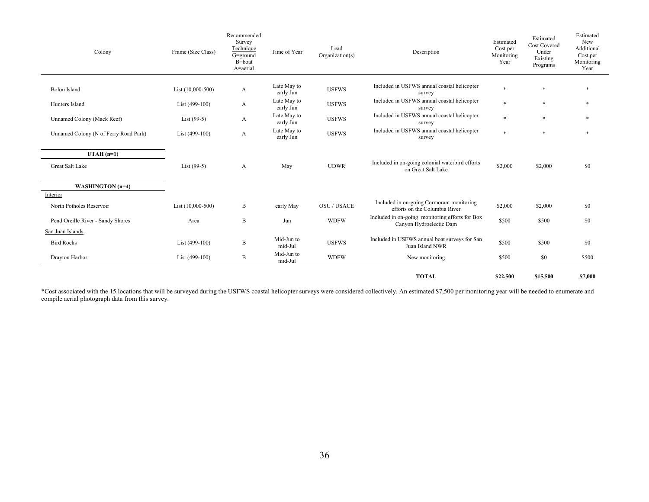| Colony                                                    | Frame (Size Class)  | Recommended<br>Survey<br>Technique<br>G=ground<br>B=boat<br>A=aerial | Time of Year             | Lead<br>Organization(s) | Description                                                                | Estimated<br>Cost per<br>Monitoring<br>Year | Estimated<br><b>Cost Covered</b><br>Under<br>Existing<br>Programs | Estimated<br><b>New</b><br>Additional<br>Cost per<br>Monitoring<br>Year |
|-----------------------------------------------------------|---------------------|----------------------------------------------------------------------|--------------------------|-------------------------|----------------------------------------------------------------------------|---------------------------------------------|-------------------------------------------------------------------|-------------------------------------------------------------------------|
| <b>Bolon Island</b>                                       | List $(10,000-500)$ | A                                                                    | Late May to<br>early Jun | <b>USFWS</b>            | Included in USFWS annual coastal helicopter<br>survey                      | $\ast$                                      | $\ast$                                                            | *                                                                       |
| Hunters Island                                            | List (499-100)      | A                                                                    | Late May to<br>early Jun | <b>USFWS</b>            | Included in USFWS annual coastal helicopter<br>survey                      | $\ast$                                      | $\ast$                                                            | *                                                                       |
| Unnamed Colony (Mack Reef)                                | List $(99-5)$       | A                                                                    | Late May to<br>early Jun | <b>USFWS</b>            | Included in USFWS annual coastal helicopter<br>survey                      | $\ast$                                      | $\ast$                                                            |                                                                         |
| Unnamed Colony (N of Ferry Road Park)                     | List $(499-100)$    | A                                                                    | Late May to<br>early Jun | <b>USFWS</b>            | Included in USFWS annual coastal helicopter<br>survey                      | $\ast$                                      | $\ast$                                                            | *                                                                       |
| $UTAH(n=1)$<br><b>Great Salt Lake</b><br>WASHINGTON (n=4) | List $(99-5)$       | $\mathbf{A}$                                                         | May                      | <b>UDWR</b>             | Included in on-going colonial waterbird efforts<br>on Great Salt Lake      | \$2,000                                     | \$2,000                                                           | \$0                                                                     |
| Interior                                                  |                     |                                                                      |                          |                         |                                                                            |                                             |                                                                   |                                                                         |
| North Potholes Reservoir                                  | List (10,000-500)   | B                                                                    | early May                | <b>OSU / USACE</b>      | Included in on-going Cormorant monitoring<br>efforts on the Columbia River | \$2,000                                     | \$2,000                                                           | \$0                                                                     |
| Pend Oreille River - Sandy Shores                         | Area                | B                                                                    | Jun                      | <b>WDFW</b>             | Included in on-going monitoring efforts for Box<br>Canyon Hydroelectic Dam | \$500                                       | \$500                                                             | \$0                                                                     |
| San Juan Islands                                          |                     |                                                                      |                          |                         |                                                                            |                                             |                                                                   |                                                                         |
| <b>Bird Rocks</b>                                         | List (499-100)      | B                                                                    | Mid-Jun to<br>mid-Jul    | <b>USFWS</b>            | Included in USFWS annual boat surveys for San<br>Juan Island NWR           | \$500                                       | \$500                                                             | \$0                                                                     |
| Drayton Harbor                                            | List $(499-100)$    | B                                                                    | Mid-Jun to<br>mid-Jul    | <b>WDFW</b>             | New monitoring                                                             | \$500                                       | \$0                                                               | \$500                                                                   |
|                                                           |                     |                                                                      |                          |                         | <b>TOTAL</b>                                                               | \$22,500                                    | \$15,500                                                          | \$7,000                                                                 |

\*Cost associated with the 15 locations that will be surveyed during the USFWS coastal helicopter surveys were considered collectively. An estimated \$7,500 per monitoring year will be needed to enumerate and compile aerial photograph data from this survey.